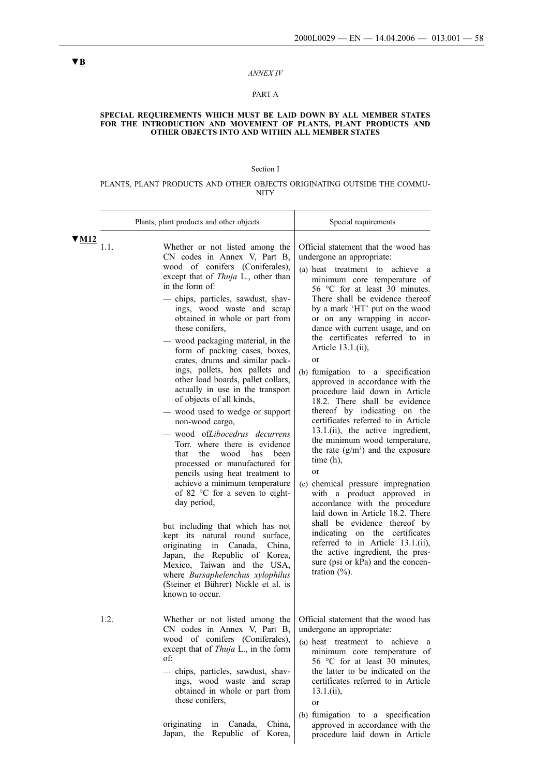#### *ANNEX IV*

### PART A

#### **SPECIAL REQUIREMENTS WHICH MUST BE LAID DOWN BY ALL MEMBER STATES FOR THE INTRODUCTION AND MOVEMENT OF PLANTS, PLANT PRODUCTS AND OTHER OBJECTS INTO AND WITHIN ALL MEMBER STATES**

#### Section I

#### PLANTS, PLANT PRODUCTS AND OTHER OBJECTS ORIGINATING OUTSIDE THE COMMU-NITY

|                                  | Plants, plant products and other objects                                                                                                                                                                                                                                                                                                                                                                                                                                                                                                                                                                                                                                                                                                                                                                                                                                                                                                                                                                                                                                                                                                     | Special requirements                                                                                                                                                                                                                                                                                                                                                                                                                                                                                                                                                                                                                                                                                                                                                                                                                                                                                                                                                                                                                                                                     |
|----------------------------------|----------------------------------------------------------------------------------------------------------------------------------------------------------------------------------------------------------------------------------------------------------------------------------------------------------------------------------------------------------------------------------------------------------------------------------------------------------------------------------------------------------------------------------------------------------------------------------------------------------------------------------------------------------------------------------------------------------------------------------------------------------------------------------------------------------------------------------------------------------------------------------------------------------------------------------------------------------------------------------------------------------------------------------------------------------------------------------------------------------------------------------------------|------------------------------------------------------------------------------------------------------------------------------------------------------------------------------------------------------------------------------------------------------------------------------------------------------------------------------------------------------------------------------------------------------------------------------------------------------------------------------------------------------------------------------------------------------------------------------------------------------------------------------------------------------------------------------------------------------------------------------------------------------------------------------------------------------------------------------------------------------------------------------------------------------------------------------------------------------------------------------------------------------------------------------------------------------------------------------------------|
| $\blacktriangledown$ M12<br>1.1. | Whether or not listed among the<br>CN codes in Annex V, Part B,<br>wood of conifers (Coniferales),<br>except that of Thuja L., other than<br>in the form of:<br>- chips, particles, sawdust, shav-<br>ings, wood waste and scrap<br>obtained in whole or part from<br>these conifers,<br>- wood packaging material, in the<br>form of packing cases, boxes,<br>crates, drums and similar pack-<br>ings, pallets, box pallets and<br>other load boards, pallet collars,<br>actually in use in the transport<br>of objects of all kinds,<br>- wood used to wedge or support<br>non-wood cargo,<br>wood ofLibocedrus decurrens<br>Torr, where there is evidence<br>that<br>the<br>wood<br>has<br><b>been</b><br>processed or manufactured for<br>pencils using heat treatment to<br>achieve a minimum temperature<br>of 82 °C for a seven to eight-<br>day period,<br>but including that which has not<br>kept its natural round surface,<br>originating<br>in Canada,<br>China,<br>Japan, the Republic of Korea,<br>Mexico, Taiwan and the USA,<br>where Bursaphelenchus xylophilus<br>(Steiner et Bührer) Nickle et al. is<br>known to occur. | Official statement that the wood has<br>undergone an appropriate:<br>(a) heat treatment to achieve a<br>minimum core temperature of<br>56 °C for at least 30 minutes.<br>There shall be evidence thereof<br>by a mark 'HT' put on the wood<br>or on any wrapping in accor-<br>dance with current usage, and on<br>the certificates referred to in<br>Article 13.1.(ii),<br>or<br>(b) fumigation to a specification<br>approved in accordance with the<br>procedure laid down in Article<br>18.2. There shall be evidence<br>thereof by indicating on the<br>certificates referred to in Article<br>13.1.(ii), the active ingredient,<br>the minimum wood temperature,<br>the rate $(g/m3)$ and the exposure<br>time $(h)$ ,<br><sub>or</sub><br>(c) chemical pressure impregnation<br>with a product approved in<br>accordance with the procedure<br>laid down in Article 18.2. There<br>shall be evidence thereof by<br>indicating on the certificates<br>referred to in Article 13.1.(ii),<br>the active ingredient, the pres-<br>sure (psi or kPa) and the concen-<br>tration $(\%).$ |
| 1.2.                             | CN codes in Annex V, Part B,<br>wood of conifers (Coniferales),<br>except that of <i>Thuja L.</i> , in the form<br>of:<br>- chips, particles, sawdust, shav-<br>ings, wood waste and scrap<br>obtained in whole or part from<br>these conifers,<br>originating<br>China,<br>in<br>Canada,<br>Japan, the Republic of<br>Korea,                                                                                                                                                                                                                                                                                                                                                                                                                                                                                                                                                                                                                                                                                                                                                                                                                | Whether or not listed among the   Official statement that the wood has<br>undergone an appropriate:<br>(a) heat treatment to achieve a<br>minimum core temperature of<br>56 °C for at least 30 minutes,<br>the latter to be indicated on the<br>certificates referred to in Article<br>$13.1$ .(ii),<br>or<br>(b) fumigation to a specification<br>approved in accordance with the<br>procedure laid down in Article                                                                                                                                                                                                                                                                                                                                                                                                                                                                                                                                                                                                                                                                     |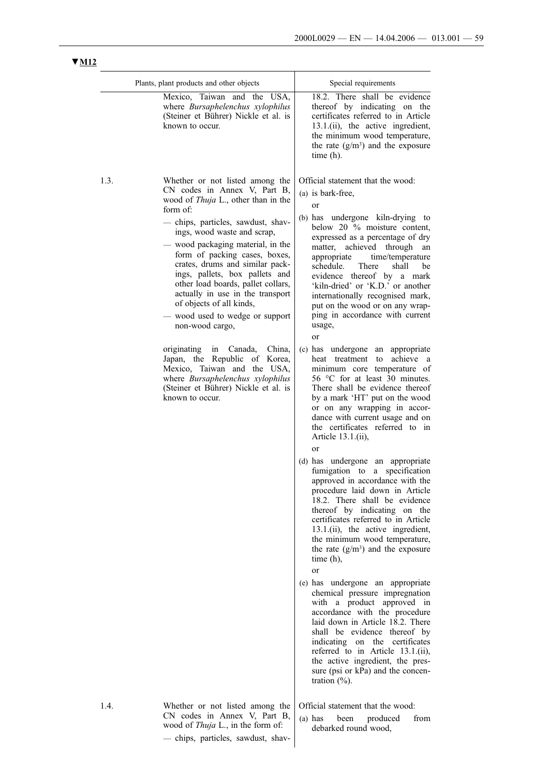|      | Plants, plant products and other objects                                                                                                                                                                                                                                                                                                                                                                                                                                                                                                      | Special requirements                                                                                                                                                                                                                                                                                                                                                                                                                                                                                            |
|------|-----------------------------------------------------------------------------------------------------------------------------------------------------------------------------------------------------------------------------------------------------------------------------------------------------------------------------------------------------------------------------------------------------------------------------------------------------------------------------------------------------------------------------------------------|-----------------------------------------------------------------------------------------------------------------------------------------------------------------------------------------------------------------------------------------------------------------------------------------------------------------------------------------------------------------------------------------------------------------------------------------------------------------------------------------------------------------|
|      | Mexico, Taiwan and the USA,<br>where Bursaphelenchus xylophilus<br>(Steiner et Bührer) Nickle et al. is<br>known to occur.                                                                                                                                                                                                                                                                                                                                                                                                                    | 18.2. There shall be evidence<br>thereof by indicating on the<br>certificates referred to in Article<br>13.1.(ii), the active ingredient,<br>the minimum wood temperature,<br>the rate $(g/m3)$ and the exposure<br>time $(h)$ .                                                                                                                                                                                                                                                                                |
| 1.3. | Whether or not listed among the<br>CN codes in Annex V, Part B,<br>wood of <i>Thuja</i> L., other than in the<br>form of:<br>- chips, particles, sawdust, shav-<br>ings, wood waste and scrap,<br>— wood packaging material, in the<br>form of packing cases, boxes,<br>crates, drums and similar pack-<br>ings, pallets, box pallets and<br>other load boards, pallet collars,<br>actually in use in the transport<br>of objects of all kinds,<br>wood used to wedge or support<br>non-wood cargo,<br>originating<br>Canada,<br>China,<br>in | Official statement that the wood:<br>(a) is bark-free,<br>or<br>(b) has undergone kiln-drying to<br>below 20 % moisture content,<br>expressed as a percentage of dry<br>matter, achieved through<br>an<br>appropriate<br>time/temperature<br>schedule.<br>There<br>shall<br>be<br>evidence thereof by a mark<br>'kiln-dried' or 'K.D.' or another<br>internationally recognised mark,<br>put on the wood or on any wrap-<br>ping in accordance with current<br>usage,<br>or<br>(c) has undergone an appropriate |
|      | Japan, the Republic of Korea,<br>Mexico, Taiwan and the USA,<br>where Bursaphelenchus xylophilus<br>(Steiner et Bührer) Nickle et al. is<br>known to occur.                                                                                                                                                                                                                                                                                                                                                                                   | achieve a<br>heat treatment to<br>minimum core temperature of<br>56 °C for at least 30 minutes.<br>There shall be evidence thereof<br>by a mark 'HT' put on the wood<br>or on any wrapping in accor-<br>dance with current usage and on<br>the certificates referred to in<br>Article 13.1.(ii),<br>or                                                                                                                                                                                                          |
|      |                                                                                                                                                                                                                                                                                                                                                                                                                                                                                                                                               | (d) has undergone an appropriate<br>fumigation to a specification<br>approved in accordance with the<br>procedure laid down in Article<br>18.2. There shall be evidence<br>thereof by indicating on the<br>certificates referred to in Article<br>13.1.(ii), the active ingredient,<br>the minimum wood temperature,<br>the rate $(g/m3)$ and the exposure<br>time $(h)$ ,<br>or                                                                                                                                |
|      |                                                                                                                                                                                                                                                                                                                                                                                                                                                                                                                                               | (e) has undergone an appropriate<br>chemical pressure impregnation<br>with a product approved in<br>accordance with the procedure<br>laid down in Article 18.2. There<br>shall be evidence thereof by<br>indicating on the certificates<br>referred to in Article 13.1.(ii),<br>the active ingredient, the pres-<br>sure (psi or kPa) and the concen-<br>tration $(\%).$                                                                                                                                        |
| 1.4. | Whether or not listed among the<br>CN codes in Annex V, Part B,<br>wood of <i>Thuja</i> L., in the form of:<br>- chips, particles, sawdust, shav-                                                                                                                                                                                                                                                                                                                                                                                             | Official statement that the wood:<br>from<br>$(a)$ has<br>been<br>produced<br>debarked round wood,                                                                                                                                                                                                                                                                                                                                                                                                              |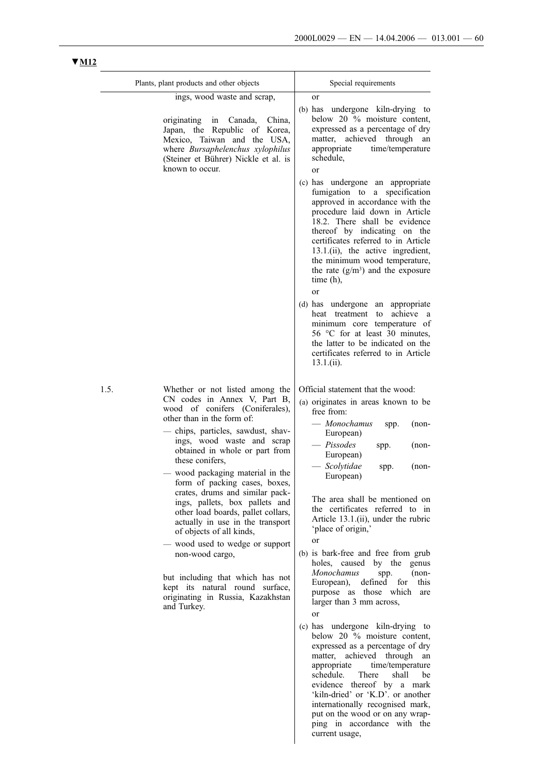internationally recognised mark, put on the wood or on any wrapping in accordance with the

current usage,

# Plants, plant products and other objects

|      | r iams, piam products and other objects                                                                                                                                                                                                                                                                                                                                                                                                                                                                                                                                                                                                                                                  | Special requirements                                                                                                                                                                                                                                                                                                                                                                                                                                                                                                                                                                                                                                                                                                                                                                                                                                                                                       |
|------|------------------------------------------------------------------------------------------------------------------------------------------------------------------------------------------------------------------------------------------------------------------------------------------------------------------------------------------------------------------------------------------------------------------------------------------------------------------------------------------------------------------------------------------------------------------------------------------------------------------------------------------------------------------------------------------|------------------------------------------------------------------------------------------------------------------------------------------------------------------------------------------------------------------------------------------------------------------------------------------------------------------------------------------------------------------------------------------------------------------------------------------------------------------------------------------------------------------------------------------------------------------------------------------------------------------------------------------------------------------------------------------------------------------------------------------------------------------------------------------------------------------------------------------------------------------------------------------------------------|
|      | ings, wood waste and scrap,<br>originating in<br>Canada,<br>China,<br>Japan, the Republic of Korea,<br>Mexico, Taiwan and the USA,<br>where Bursaphelenchus xylophilus<br>(Steiner et Bührer) Nickle et al. is<br>known to occur.                                                                                                                                                                                                                                                                                                                                                                                                                                                        | <b>or</b><br>(b) has undergone kiln-drying to<br>below 20 % moisture content,<br>expressed as a percentage of dry<br>matter, achieved through<br>an<br>appropriate<br>time/temperature<br>schedule,<br><b>or</b><br>(c) has undergone an appropriate<br>fumigation to a specification<br>approved in accordance with the<br>procedure laid down in Article<br>18.2. There shall be evidence<br>thereof by indicating on the<br>certificates referred to in Article<br>13.1.(ii), the active ingredient,<br>the minimum wood temperature,<br>the rate $(g/m3)$ and the exposure<br>time $(h)$ ,<br><sub>or</sub><br>(d) has undergone an appropriate<br>achieve a<br>heat treatment<br>to<br>minimum core temperature of<br>56 °C for at least 30 minutes,<br>the latter to be indicated on the<br>certificates referred to in Article<br>$13.1$ .(ii).                                                     |
| 1.5. | Whether or not listed among the<br>CN codes in Annex V, Part B,<br>wood of conifers (Coniferales),<br>other than in the form of:<br>- chips, particles, sawdust, shav-<br>ings, wood waste and scrap<br>obtained in whole or part from<br>these conifers,<br>wood packaging material in the<br>form of packing cases, boxes,<br>crates, drums and similar pack-<br>ings, pallets, box pallets and<br>other load boards, pallet collars,<br>actually in use in the transport<br>of objects of all kinds,<br>- wood used to wedge or support<br>non-wood cargo,<br>but including that which has not<br>kept its natural round surface,<br>originating in Russia, Kazakhstan<br>and Turkey. | Official statement that the wood:<br>(a) originates in areas known to be<br>free from:<br>— Monochamus<br>$(non-$<br>spp.<br>European)<br>$-$ Pissodes<br>$(non-$<br>spp.<br>European)<br>- Scolytidae<br>$(non-$<br>spp.<br>European)<br>The area shall be mentioned on<br>the certificates referred to in<br>Article 13.1.(ii), under the rubric<br>'place of origin,'<br><sub>or</sub><br>(b) is bark-free and free from grub<br>holes, caused by the genus<br>Monochamus<br>$(non-$<br>spp.<br>defined<br>European),<br>for<br>this<br>purpose as those which<br>are<br>larger than 3 mm across,<br><sub>or</sub><br>(c) has undergone kiln-drying to<br>below 20 % moisture content,<br>expressed as a percentage of dry<br>matter, achieved through<br>an<br>appropriate<br>time/temperature<br>schedule.<br>There<br>shall<br>be<br>evidence thereof by a mark<br>'kiln-dried' or 'K.D'. or another |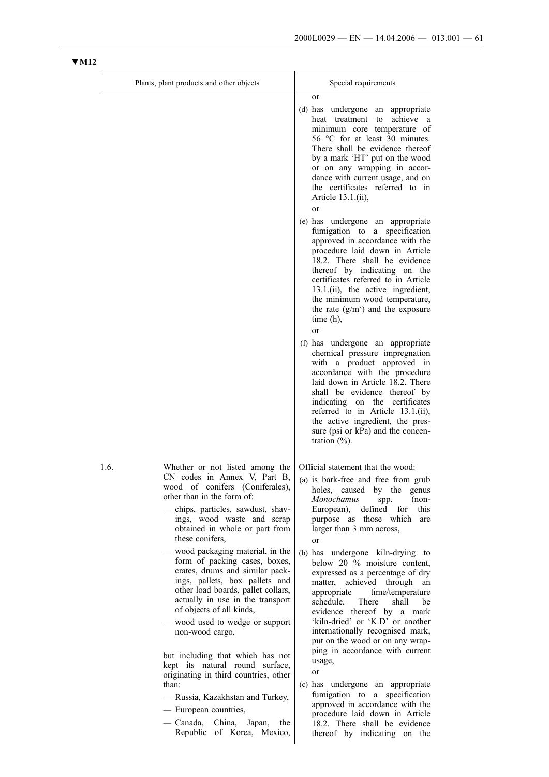|      | Plants, plant products and other objects                                                                                                                                                                                                                                                                                                                                                                                                                                                                                                                                                           | Special requirements                                                                                                                                                                                                                                                                                                                                                                                                                                                                                                                                         |
|------|----------------------------------------------------------------------------------------------------------------------------------------------------------------------------------------------------------------------------------------------------------------------------------------------------------------------------------------------------------------------------------------------------------------------------------------------------------------------------------------------------------------------------------------------------------------------------------------------------|--------------------------------------------------------------------------------------------------------------------------------------------------------------------------------------------------------------------------------------------------------------------------------------------------------------------------------------------------------------------------------------------------------------------------------------------------------------------------------------------------------------------------------------------------------------|
|      |                                                                                                                                                                                                                                                                                                                                                                                                                                                                                                                                                                                                    | or<br>(d) has undergone<br>an appropriate<br>achieve a<br>heat treatment<br>to<br>minimum core temperature of<br>56 °C for at least 30 minutes.<br>There shall be evidence thereof<br>by a mark 'HT' put on the wood<br>or on any wrapping in accor-<br>dance with current usage, and on<br>the certificates referred to in<br>Article 13.1.(ii),                                                                                                                                                                                                            |
|      |                                                                                                                                                                                                                                                                                                                                                                                                                                                                                                                                                                                                    | <sub>or</sub><br>(e) has undergone an appropriate<br>fumigation to a specification<br>approved in accordance with the<br>procedure laid down in Article<br>18.2. There shall be evidence<br>thereof by indicating on the<br>certificates referred to in Article<br>13.1.(ii), the active ingredient,<br>the minimum wood temperature,<br>the rate $(g/m3)$ and the exposure<br>time $(h)$ ,<br><sub>or</sub>                                                                                                                                                 |
|      |                                                                                                                                                                                                                                                                                                                                                                                                                                                                                                                                                                                                    | (f) has undergone an appropriate<br>chemical pressure impregnation<br>with a product approved in<br>accordance with the procedure<br>laid down in Article 18.2. There<br>shall be evidence thereof by<br>indicating on the certificates<br>referred to in Article 13.1.(ii),<br>the active ingredient, the pres-<br>sure (psi or kPa) and the concen-<br>tration $(\%).$                                                                                                                                                                                     |
| 1.6. | Whether or not listed among the   Official statement that the wood:<br>CN codes in Annex V, Part B,<br>wood of conifers (Coniferales),<br>other than in the form of:<br>- chips, particles, sawdust, shav-<br>ings, wood waste and scrap<br>obtained in whole or part from<br>these conifers,<br>wood packaging material, in the<br>form of packing cases, boxes,<br>crates, drums and similar pack-<br>ings, pallets, box pallets and<br>other load boards, pallet collars,<br>actually in use in the transport<br>of objects of all kinds,<br>- wood used to wedge or support<br>non-wood cargo, | (a) is bark-free and free from grub<br>holes, caused by the genus<br>Monochamus<br>$(non-$<br>spp.<br>European), defined for<br>this<br>purpose as those which are<br>larger than 3 mm across,<br>or<br>(b) has undergone kiln-drying to<br>below 20 % moisture content,<br>expressed as a percentage of dry<br>matter, achieved through<br>an<br>appropriate time/temperature<br>schedule.<br>There<br>shall<br>be<br>evidence thereof by a mark<br>'kiln-dried' or 'K.D' or another<br>internationally recognised mark,<br>put on the wood or on any wrap- |
|      | but including that which has not<br>kept its natural round surface,<br>originating in third countries, other<br>than:<br>— Russia, Kazakhstan and Turkey,<br>— European countries,<br>- Canada, China, Japan,<br>the<br>Republic of Korea, Mexico,                                                                                                                                                                                                                                                                                                                                                 | ping in accordance with current<br>usage,<br>or<br>(c) has undergone an appropriate<br>fumigation to a specification<br>approved in accordance with the<br>procedure laid down in Article<br>18.2. There shall be evidence<br>thereof by indicating on the                                                                                                                                                                                                                                                                                                   |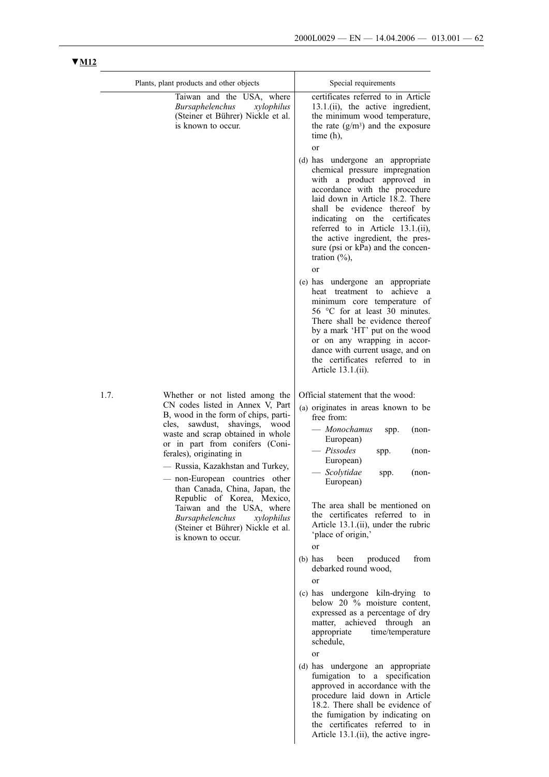Article 13.1.(ii), the active ingre-

|      | Plants, plant products and other objects                                                                                                                                                                                                                                                      | Special requirements                                                                                                                                                                                                                                                                                                                                                                      |
|------|-----------------------------------------------------------------------------------------------------------------------------------------------------------------------------------------------------------------------------------------------------------------------------------------------|-------------------------------------------------------------------------------------------------------------------------------------------------------------------------------------------------------------------------------------------------------------------------------------------------------------------------------------------------------------------------------------------|
|      | Taiwan and the USA, where<br>Bursaphelenchus<br>xylophilus<br>(Steiner et Bührer) Nickle et al.<br>is known to occur.                                                                                                                                                                         | certificates referred to in Article<br>13.1.(ii), the active ingredient,<br>the minimum wood temperature,<br>the rate $(g/m3)$ and the exposure<br>time $(h)$ ,<br><sub>or</sub>                                                                                                                                                                                                          |
|      |                                                                                                                                                                                                                                                                                               | (d) has undergone an appropriate<br>chemical pressure impregnation<br>with a product approved in<br>accordance with the procedure<br>laid down in Article 18.2. There<br>shall be evidence thereof by<br>indicating on the certificates<br>referred to in Article 13.1.(ii),<br>the active ingredient, the pres-<br>sure (psi or kPa) and the concen-<br>tration $(\%),$<br><sub>or</sub> |
|      |                                                                                                                                                                                                                                                                                               | (e) has undergone<br>an<br>appropriate<br>achieve a<br>heat treatment<br>to<br>minimum core temperature of<br>56 °C for at least 30 minutes.<br>There shall be evidence thereof<br>by a mark 'HT' put on the wood<br>or on any wrapping in accor-<br>dance with current usage, and on<br>the certificates referred to in<br>Article 13.1.(ii).                                            |
| 1.7. | Whether or not listed among the<br>CN codes listed in Annex V, Part<br>B, wood in the form of chips, parti-<br>cles,<br>sawdust,<br>shavings,<br>wood<br>waste and scrap obtained in whole<br>or in part from conifers (Coni-<br>ferales), originating in<br>- Russia, Kazakhstan and Turkey, | Official statement that the wood:<br>(a) originates in areas known to be<br>free from:<br>— Monochamus<br>$(non-$<br>spp.<br>European)<br>$-$ Pissodes<br>$(non-$<br>spp.<br>European)                                                                                                                                                                                                    |
|      | - non-European countries other<br>than Canada, China, Japan, the<br>Republic of Korea, Mexico,                                                                                                                                                                                                | — Scolytidae<br>$(non-$<br>spp.<br>European)<br>The area shall be mentioned on                                                                                                                                                                                                                                                                                                            |
|      | Taiwan and the USA, where<br>Bursaphelenchus<br>xylophilus<br>(Steiner et Bührer) Nickle et al.<br>is known to occur.                                                                                                                                                                         | the certificates referred to in<br>Article 13.1.(ii), under the rubric<br>'place of origin,'<br><sub>or</sub>                                                                                                                                                                                                                                                                             |
|      |                                                                                                                                                                                                                                                                                               | from<br>$(b)$ has<br>been<br>produced<br>debarked round wood,                                                                                                                                                                                                                                                                                                                             |
|      |                                                                                                                                                                                                                                                                                               | <sub>or</sub><br>(c) has undergone kiln-drying to<br>below 20 % moisture content,<br>expressed as a percentage of dry<br>matter, achieved through an<br>appropriate<br>time/temperature<br>schedule,<br><sub>or</sub>                                                                                                                                                                     |
|      |                                                                                                                                                                                                                                                                                               | (d) has undergone an appropriate<br>fumigation to<br>a specification<br>approved in accordance with the<br>procedure laid down in Article<br>18.2. There shall be evidence of<br>the fumigation by indicating on<br>the certificates referred to in                                                                                                                                       |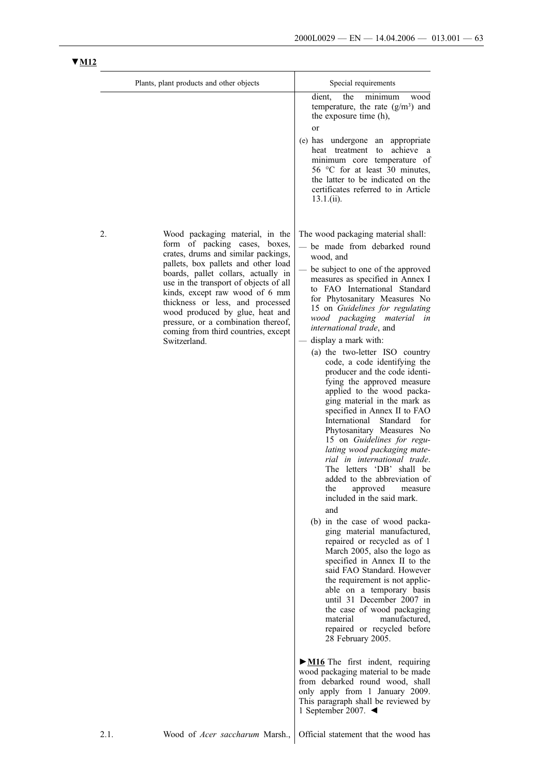| Plants, plant products and other objects                                                                                                                                                                                                                                                                                                                                                                                                        | Special requirements                                                                                                                                                                                                                                                                                                                                                                                                                                                                                                                                                                                                                                                                                                                                                                                                                                                                                                                                                                                                                                                                                                                                                                                                                                                                                                                                                                                                                                                                                                                          |
|-------------------------------------------------------------------------------------------------------------------------------------------------------------------------------------------------------------------------------------------------------------------------------------------------------------------------------------------------------------------------------------------------------------------------------------------------|-----------------------------------------------------------------------------------------------------------------------------------------------------------------------------------------------------------------------------------------------------------------------------------------------------------------------------------------------------------------------------------------------------------------------------------------------------------------------------------------------------------------------------------------------------------------------------------------------------------------------------------------------------------------------------------------------------------------------------------------------------------------------------------------------------------------------------------------------------------------------------------------------------------------------------------------------------------------------------------------------------------------------------------------------------------------------------------------------------------------------------------------------------------------------------------------------------------------------------------------------------------------------------------------------------------------------------------------------------------------------------------------------------------------------------------------------------------------------------------------------------------------------------------------------|
|                                                                                                                                                                                                                                                                                                                                                                                                                                                 | dient,<br>the<br>minimum<br>wood<br>temperature, the rate $(g/m3)$ and<br>the exposure time (h),<br>or<br>(e) has undergone<br>an appropriate<br>achieve<br>heat treatment<br>to<br><sub>a</sub><br>minimum core temperature of<br>56 °C for at least 30 minutes,<br>the latter to be indicated on the<br>certificates referred to in Article<br>$13.1$ .(ii).                                                                                                                                                                                                                                                                                                                                                                                                                                                                                                                                                                                                                                                                                                                                                                                                                                                                                                                                                                                                                                                                                                                                                                                |
| 2.<br>Wood packaging material, in the<br>form of packing cases,<br>boxes.<br>crates, drums and similar packings,<br>pallets, box pallets and other load<br>boards, pallet collars, actually in<br>use in the transport of objects of all<br>kinds, except raw wood of 6 mm<br>thickness or less, and processed<br>wood produced by glue, heat and<br>pressure, or a combination thereof,<br>coming from third countries, except<br>Switzerland. | The wood packaging material shall:<br>be made from debarked round<br>wood, and<br>be subject to one of the approved<br>measures as specified in Annex I<br>to FAO International Standard<br>for Phytosanitary Measures No<br>15 on Guidelines for regulating<br>wood packaging material in<br>international trade, and<br>display a mark with:<br>(a) the two-letter ISO country<br>code, a code identifying the<br>producer and the code identi-<br>fying the approved measure<br>applied to the wood packa-<br>ging material in the mark as<br>specified in Annex II to FAO<br>International<br>Standard<br>for<br>Phytosanitary Measures No<br>15 on Guidelines for regu-<br>lating wood packaging mate-<br>rial in international trade.<br>The letters 'DB' shall be<br>added to the abbreviation of<br>the<br>approved<br>measure<br>included in the said mark.<br>and<br>(b) in the case of wood packa-<br>ging material manufactured,<br>repaired or recycled as of 1<br>March 2005, also the logo as<br>specified in Annex II to the<br>said FAO Standard. However<br>the requirement is not applic-<br>able on a temporary basis<br>until 31 December 2007 in<br>the case of wood packaging<br>material<br>manufactured,<br>repaired or recycled before<br>28 February 2005.<br>$\triangleright$ <b>M16</b> The first indent, requiring<br>wood packaging material to be made<br>from debarked round wood, shall<br>only apply from 1 January 2009.<br>This paragraph shall be reviewed by<br>1 September 2007. $\blacktriangleleft$ |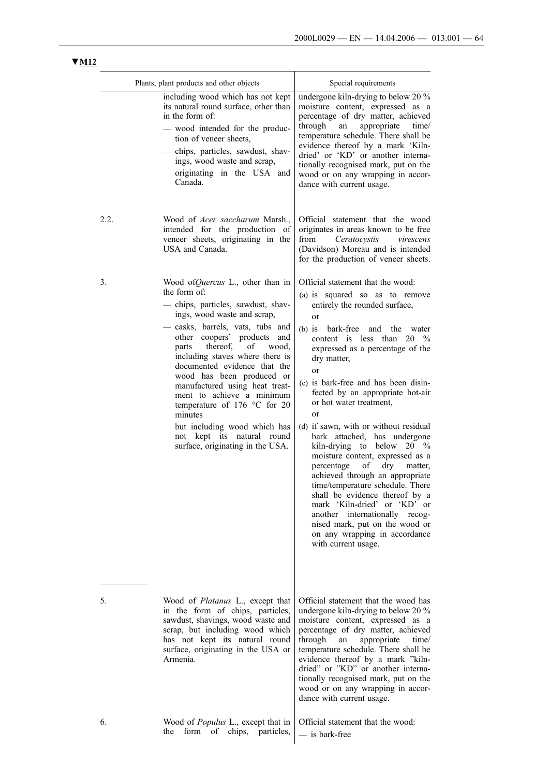|      | Plants, plant products and other objects                                                                                                                                                                                                                                                                                                                                                                                                                                                                                                        | Special requirements                                                                                                                                                                                                                                                                                                                                                                                                                                                                                                                                                                                                                                                                                                                                                                                                                                                 |  |
|------|-------------------------------------------------------------------------------------------------------------------------------------------------------------------------------------------------------------------------------------------------------------------------------------------------------------------------------------------------------------------------------------------------------------------------------------------------------------------------------------------------------------------------------------------------|----------------------------------------------------------------------------------------------------------------------------------------------------------------------------------------------------------------------------------------------------------------------------------------------------------------------------------------------------------------------------------------------------------------------------------------------------------------------------------------------------------------------------------------------------------------------------------------------------------------------------------------------------------------------------------------------------------------------------------------------------------------------------------------------------------------------------------------------------------------------|--|
|      | including wood which has not kept<br>its natural round surface, other than<br>in the form of:<br>- wood intended for the produc-<br>tion of veneer sheets,<br>- chips, particles, sawdust, shav-<br>ings, wood waste and scrap,<br>originating in the USA and<br>Canada.                                                                                                                                                                                                                                                                        | undergone kiln-drying to below 20 %<br>moisture content, expressed as a<br>percentage of dry matter, achieved<br>through<br>appropriate<br>an<br>time/<br>temperature schedule. There shall be<br>evidence thereof by a mark 'Kiln-<br>dried' or 'KD' or another interna-<br>tionally recognised mark, put on the<br>wood or on any wrapping in accor-<br>dance with current usage.                                                                                                                                                                                                                                                                                                                                                                                                                                                                                  |  |
| 2.2. | Wood of <i>Acer saccharum</i> Marsh.,<br>intended for the production of<br>veneer sheets, originating in the<br>USA and Canada.                                                                                                                                                                                                                                                                                                                                                                                                                 | Official statement that the wood<br>originates in areas known to be free<br>Ceratocystis<br>from<br>virescens<br>(Davidson) Moreau and is intended<br>for the production of veneer sheets.                                                                                                                                                                                                                                                                                                                                                                                                                                                                                                                                                                                                                                                                           |  |
| 3.   | Wood of Quercus L., other than in<br>the form of:<br>- chips, particles, sawdust, shav-<br>ings, wood waste and scrap,<br>- casks, barrels, vats, tubs and<br>other coopers' products and<br>thereof,<br>of wood.<br>parts<br>including staves where there is<br>documented evidence that the<br>wood has been produced or<br>manufactured using heat treat-<br>ment to achieve a minimum<br>temperature of 176 $\degree$ C for 20<br>minutes<br>but including wood which has<br>not kept its natural round<br>surface, originating in the USA. | Official statement that the wood:<br>(a) is squared so as to remove<br>entirely the rounded surface,<br><sub>or</sub><br>$(b)$ is<br>bark-free<br>and<br>the<br>water<br>content is less than<br>$20 \frac{9}{6}$<br>expressed as a percentage of the<br>dry matter,<br><sub>or</sub><br>(c) is bark-free and has been disin-<br>fected by an appropriate hot-air<br>or hot water treatment,<br><sub>or</sub><br>(d) if sawn, with or without residual<br>bark attached, has undergone<br>kiln-drying to below $20\%$<br>moisture content, expressed as a<br>of<br>dry<br>percentage<br>matter,<br>achieved through an appropriate<br>time/temperature schedule. There<br>shall be evidence thereof by a<br>mark 'Kiln-dried' or 'KD' or<br>another internationally recog-<br>nised mark, put on the wood or<br>on any wrapping in accordance<br>with current usage. |  |
| 5.   | Wood of <i>Platanus</i> L., except that<br>in the form of chips, particles,<br>sawdust, shavings, wood waste and<br>scrap, but including wood which<br>has not kept its natural round<br>surface, originating in the USA or<br>Armenia.                                                                                                                                                                                                                                                                                                         | Official statement that the wood has<br>undergone kiln-drying to below 20 %<br>moisture content, expressed as a<br>percentage of dry matter, achieved<br>through<br>appropriate<br>an<br>time/<br>temperature schedule. There shall be<br>evidence thereof by a mark "kiln-<br>dried" or "KD" or another interna-<br>tionally recognised mark, put on the<br>wood or on any wrapping in accor-<br>dance with current usage.                                                                                                                                                                                                                                                                                                                                                                                                                                          |  |

6. Wood of *Populus* L., except that in the form of chips, particles, Official statement that the wood: — is bark-free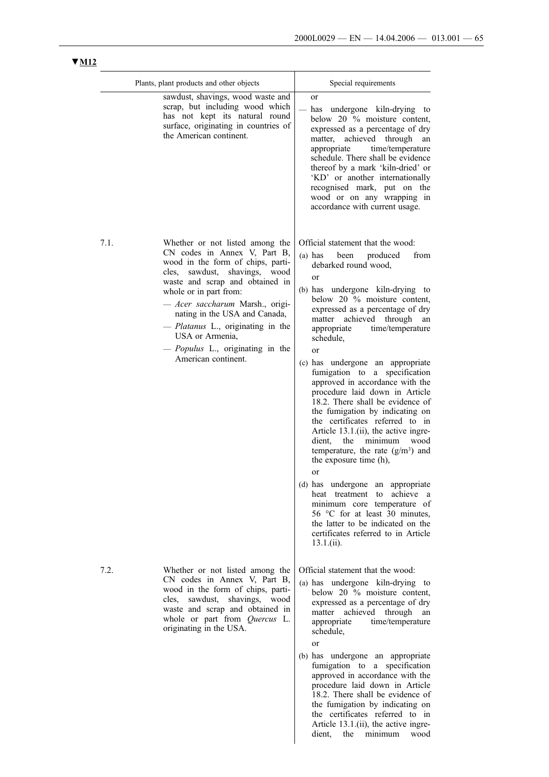dient, the minimum wood

|      | Plants, plant products and other objects                                                                                                                                                                                                                                                                                                                                                                   | Special requirements                                                                                                                                                                                                                                                                                                                                                                                                                                                                                                                                                                                                                                                                                                                                                                                                                                                                                                                                     |
|------|------------------------------------------------------------------------------------------------------------------------------------------------------------------------------------------------------------------------------------------------------------------------------------------------------------------------------------------------------------------------------------------------------------|----------------------------------------------------------------------------------------------------------------------------------------------------------------------------------------------------------------------------------------------------------------------------------------------------------------------------------------------------------------------------------------------------------------------------------------------------------------------------------------------------------------------------------------------------------------------------------------------------------------------------------------------------------------------------------------------------------------------------------------------------------------------------------------------------------------------------------------------------------------------------------------------------------------------------------------------------------|
|      | sawdust, shavings, wood waste and<br>scrap, but including wood which<br>has not kept its natural round<br>surface, originating in countries of<br>the American continent.                                                                                                                                                                                                                                  | <sub>or</sub><br>has undergone kiln-drying to<br>below 20 % moisture content,<br>expressed as a percentage of dry<br>matter, achieved through<br>an<br>appropriate<br>time/temperature<br>schedule. There shall be evidence<br>thereof by a mark 'kiln-dried' or<br>'KD' or another internationally<br>recognised mark, put on the<br>wood or on any wrapping in<br>accordance with current usage.                                                                                                                                                                                                                                                                                                                                                                                                                                                                                                                                                       |
| 7.1. | Whether or not listed among the<br>CN codes in Annex V, Part B,<br>wood in the form of chips, parti-<br>sawdust, shavings, wood<br>cles.<br>waste and scrap and obtained in<br>whole or in part from:<br>- Acer saccharum Marsh., origi-<br>nating in the USA and Canada,<br><i>- Platanus</i> L., originating in the<br>USA or Armenia,<br>- <i>Populus</i> L., originating in the<br>American continent. | Official statement that the wood:<br>$(a)$ has<br>been<br>produced<br>from<br>debarked round wood.<br>or<br>(b) has undergone kiln-drying to<br>below 20 % moisture content,<br>expressed as a percentage of dry<br>matter achieved through<br>an<br>time/temperature<br>appropriate<br>schedule,<br>or<br>(c) has undergone an appropriate<br>fumigation to a specification<br>approved in accordance with the<br>procedure laid down in Article<br>18.2. There shall be evidence of<br>the fumigation by indicating on<br>the certificates referred to in<br>Article 13.1.(ii), the active ingre-<br>the<br>dient,<br>minimum<br>wood<br>temperature, the rate $(g/m3)$ and<br>the exposure time (h),<br>or<br>(d) has undergone an<br>appropriate<br>achieve a<br>heat treatment<br>to<br>minimum core temperature of<br>56 °C for at least 30 minutes,<br>the latter to be indicated on the<br>certificates referred to in Article<br>$13.1$ . (ii). |
| 7.2. | Whether or not listed among the<br>CN codes in Annex V, Part B,<br>wood in the form of chips, parti-<br>shavings, wood<br>cles,<br>sawdust,<br>waste and scrap and obtained in<br>whole or part from Quercus L.<br>originating in the USA.                                                                                                                                                                 | Official statement that the wood:<br>(a) has undergone kiln-drying to<br>below 20 % moisture content,<br>expressed as a percentage of dry<br>matter achieved through<br>an<br>time/temperature<br>appropriate<br>schedule,<br>or<br>(b) has undergone an appropriate<br>fumigation to a specification<br>approved in accordance with the<br>procedure laid down in Article<br>18.2. There shall be evidence of<br>the fumigation by indicating on                                                                                                                                                                                                                                                                                                                                                                                                                                                                                                        |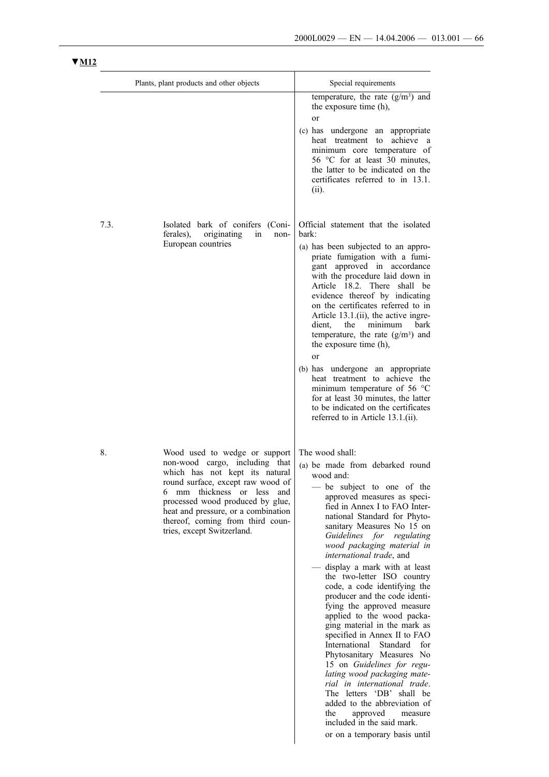|      | Plants, plant products and other objects                                                                                                                                                                                                                                                                                | Special requirements                                                                                                                                                                                                                                                                                                                                                                                                                                                                                                                                                                                                                                                                                                                                                                                                                                              |
|------|-------------------------------------------------------------------------------------------------------------------------------------------------------------------------------------------------------------------------------------------------------------------------------------------------------------------------|-------------------------------------------------------------------------------------------------------------------------------------------------------------------------------------------------------------------------------------------------------------------------------------------------------------------------------------------------------------------------------------------------------------------------------------------------------------------------------------------------------------------------------------------------------------------------------------------------------------------------------------------------------------------------------------------------------------------------------------------------------------------------------------------------------------------------------------------------------------------|
|      |                                                                                                                                                                                                                                                                                                                         | temperature, the rate $(g/m3)$ and<br>the exposure time (h),<br>or<br>(c) has undergone an appropriate<br>to achieve a<br>heat treatment<br>minimum core temperature of<br>56 °C for at least 30 minutes,<br>the latter to be indicated on the<br>certificates referred to in 13.1.<br>(ii).                                                                                                                                                                                                                                                                                                                                                                                                                                                                                                                                                                      |
| 7.3. | Isolated bark of conifers (Coni-<br>ferales),<br>originating<br>in<br>non-<br>European countries                                                                                                                                                                                                                        | Official statement that the isolated<br>bark:<br>(a) has been subjected to an appro-<br>priate fumigation with a fumi-<br>gant approved in accordance<br>with the procedure laid down in<br>Article 18.2. There shall be<br>evidence thereof by indicating<br>on the certificates referred to in<br>Article 13.1.(ii), the active ingre-<br>dient,<br>the<br>minimum<br><b>bark</b><br>temperature, the rate $(g/m3)$ and<br>the exposure time (h),<br>or<br>(b) has undergone an appropriate<br>heat treatment to achieve the<br>minimum temperature of 56 °C<br>for at least 30 minutes, the latter<br>to be indicated on the certificates<br>referred to in Article 13.1.(ii).                                                                                                                                                                                 |
| 8.   | Wood used to wedge or support<br>non-wood cargo, including that<br>which has not kept its natural<br>round surface, except raw wood of<br>thickness or less<br>6 mm<br>and<br>processed wood produced by glue,<br>heat and pressure, or a combination<br>thereof, coming from third coun-<br>tries, except Switzerland. | The wood shall:<br>(a) be made from debarked round<br>wood and:<br>be subject to one of the<br>approved measures as speci-<br>fied in Annex I to FAO Inter-<br>national Standard for Phyto-<br>sanitary Measures No 15 on<br>Guidelines for regulating<br>wood packaging material in<br>international trade, and<br>- display a mark with at least<br>the two-letter ISO country<br>code, a code identifying the<br>producer and the code identi-<br>fying the approved measure<br>applied to the wood packa-<br>ging material in the mark as<br>specified in Annex II to FAO<br>International<br>Standard for<br>Phytosanitary Measures No<br>15 on Guidelines for regu-<br>lating wood packaging mate-<br>rial in international trade.<br>The letters 'DB' shall be<br>added to the abbreviation of<br>the<br>approved<br>measure<br>included in the said mark. |

or on a temporary basis until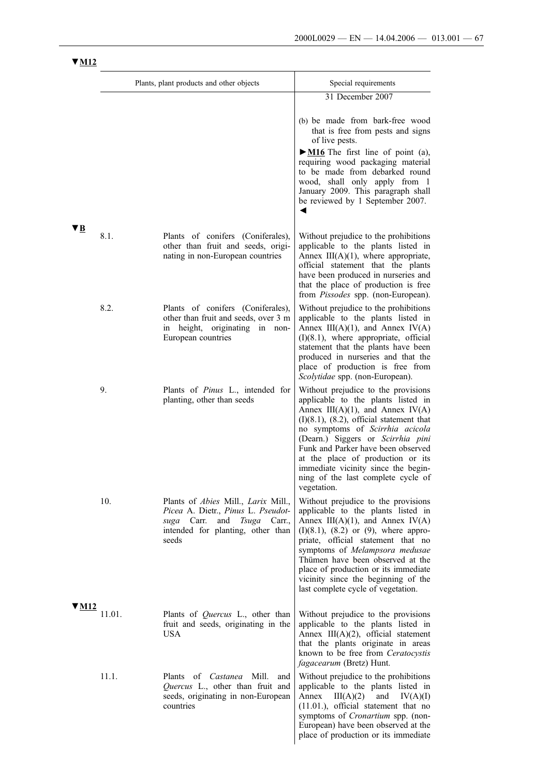|              |        | Plants, plant products and other objects                                                                                                                                          | Special requirements                                                                                                                                                                                                                                                                                                                                                                                                |
|--------------|--------|-----------------------------------------------------------------------------------------------------------------------------------------------------------------------------------|---------------------------------------------------------------------------------------------------------------------------------------------------------------------------------------------------------------------------------------------------------------------------------------------------------------------------------------------------------------------------------------------------------------------|
|              |        |                                                                                                                                                                                   | 31 December 2007                                                                                                                                                                                                                                                                                                                                                                                                    |
|              |        |                                                                                                                                                                                   | (b) be made from bark-free wood<br>that is free from pests and signs<br>of live pests.<br>$\triangleright$ <b>M16</b> The first line of point (a),<br>requiring wood packaging material<br>to be made from debarked round<br>wood, shall only apply from 1<br>January 2009. This paragraph shall<br>be reviewed by 1 September 2007.<br>◀                                                                           |
| VВ           | 8.1.   | Plants of conifers (Coniferales),<br>other than fruit and seeds, origi-<br>nating in non-European countries                                                                       | Without prejudice to the prohibitions<br>applicable to the plants listed in<br>Annex $III(A)(1)$ , where appropriate,<br>official statement that the plants<br>have been produced in nurseries and<br>that the place of production is free<br>from <i>Pissodes</i> spp. (non-European).                                                                                                                             |
|              | 8.2.   | Plants of conifers (Coniferales),<br>other than fruit and seeds, over 3 m<br>in height, originating in non-<br>European countries                                                 | Without prejudice to the prohibitions<br>applicable to the plants listed in<br>Annex $III(A)(1)$ , and Annex $IV(A)$<br>$(I)(8.1)$ , where appropriate, official<br>statement that the plants have been<br>produced in nurseries and that the<br>place of production is free from<br>Scolytidae spp. (non-European).                                                                                                |
|              | 9.     | Plants of Pinus L., intended for<br>planting, other than seeds                                                                                                                    | Without prejudice to the provisions<br>applicable to the plants listed in<br>Annex $III(A)(1)$ , and Annex $IV(A)$<br>$(I)(8.1)$ , $(8.2)$ , official statement that<br>no symptoms of Scirrhia acicola<br>(Dearn.) Siggers or Scirrhia pini<br>Funk and Parker have been observed<br>at the place of production or its<br>immediate vicinity since the begin-<br>ning of the last complete cycle of<br>vegetation. |
|              | 10.    | Plants of <i>Abies</i> Mill., <i>Larix</i> Mill.,<br>Picea A. Dietr., Pinus L. Pseudot-<br>suga Carr.<br>and<br><i>Tsuga</i> Carr.,<br>intended for planting, other than<br>seeds | Without prejudice to the provisions<br>applicable to the plants listed in<br>Annex $III(A)(1)$ , and Annex $IV(A)$<br>$(I)(8.1)$ , $(8.2)$ or $(9)$ , where appro-<br>priate, official statement that no<br>symptoms of Melampsora medusae<br>Thümen have been observed at the<br>place of production or its immediate<br>vicinity since the beginning of the<br>last complete cycle of vegetation.                 |
| V <u>M12</u> | 11.01. | Plants of <i>Quercus</i> L., other than<br>fruit and seeds, originating in the<br><b>USA</b>                                                                                      | Without prejudice to the provisions<br>applicable to the plants listed in<br>Annex III(A)(2), official statement<br>that the plants originate in areas<br>known to be free from <i>Ceratocystis</i><br><i>fagacearum</i> (Bretz) Hunt.                                                                                                                                                                              |
|              | 11.1.  | Plants of <i>Castanea</i> Mill.<br>and<br>Quercus L., other than fruit and<br>seeds, originating in non-European<br>countries                                                     | Without prejudice to the prohibitions<br>applicable to the plants listed in<br>Annex $III(A)(2)$<br>and<br>IV(A)(I)<br>$(11.01.)$ , official statement that no<br>symptoms of <i>Cronartium</i> spp. (non-<br>European) have been observed at the<br>place of production or its immediate                                                                                                                           |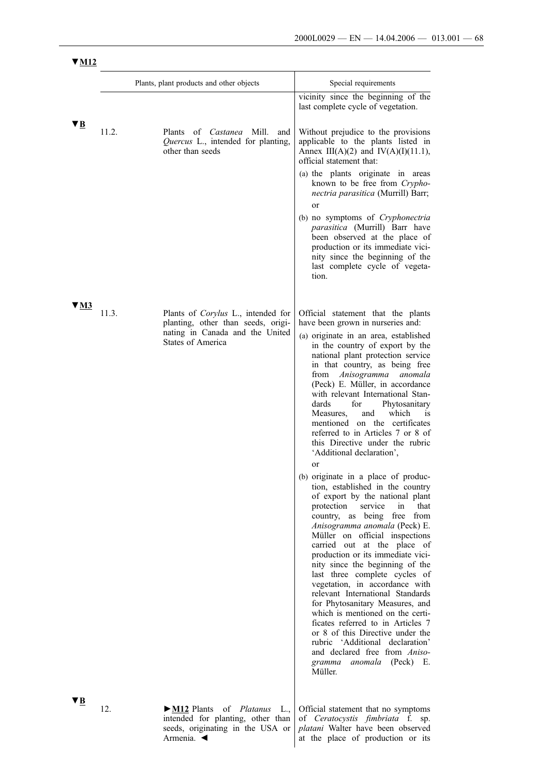|      |       | Plants, plant products and other objects                                                  | Special requirements                                                                                                                                                                                                                                                                                                                                                                                                                                                                                                                                                                                                                                                                  |
|------|-------|-------------------------------------------------------------------------------------------|---------------------------------------------------------------------------------------------------------------------------------------------------------------------------------------------------------------------------------------------------------------------------------------------------------------------------------------------------------------------------------------------------------------------------------------------------------------------------------------------------------------------------------------------------------------------------------------------------------------------------------------------------------------------------------------|
|      |       |                                                                                           | vicinity since the beginning of the<br>last complete cycle of vegetation.                                                                                                                                                                                                                                                                                                                                                                                                                                                                                                                                                                                                             |
| ▼B   | 11.2. | Plants of <i>Castanea</i> Mill.<br>Quercus L., intended for planting,<br>other than seeds | Without prejudice to the provisions<br>and<br>applicable to the plants listed in<br>Annex III(A)(2) and IV(A)(I)(11.1),<br>official statement that:                                                                                                                                                                                                                                                                                                                                                                                                                                                                                                                                   |
|      |       |                                                                                           | (a) the plants originate in areas<br>known to be free from Crypho-<br>nectria parasitica (Murrill) Barr;<br>or                                                                                                                                                                                                                                                                                                                                                                                                                                                                                                                                                                        |
|      |       |                                                                                           | (b) no symptoms of Cryphonectria<br>parasitica (Murrill) Barr have<br>been observed at the place of<br>production or its immediate vici-<br>nity since the beginning of the<br>last complete cycle of vegeta-<br>tion.                                                                                                                                                                                                                                                                                                                                                                                                                                                                |
| V M3 | 11.3. | Plants of Corylus L., intended for                                                        | Official statement that the plants                                                                                                                                                                                                                                                                                                                                                                                                                                                                                                                                                                                                                                                    |
|      |       | planting, other than seeds, origi-<br>nating in Canada and the United                     | have been grown in nurseries and:                                                                                                                                                                                                                                                                                                                                                                                                                                                                                                                                                                                                                                                     |
|      |       | <b>States of America</b>                                                                  | (a) originate in an area, established<br>in the country of export by the<br>national plant protection service<br>in that country, as being free<br>from Anisogramma anomala<br>(Peck) E. Müller, in accordance<br>with relevant International Stan-<br>dards<br>for<br>Phytosanitary<br>which<br>Measures,<br>and<br>1S<br>mentioned on the certificates<br>referred to in Articles 7 or 8 of<br>this Directive under the rubric<br>'Additional declaration',<br>or<br>(b) originate in a place of produc-                                                                                                                                                                            |
|      |       |                                                                                           | tion, established in the country<br>of export by the national plant<br>protection<br>service<br>that<br>in<br>country, as being free from<br>Anisogramma anomala (Peck) E.<br>Müller on official inspections<br>carried out at the place of<br>production or its immediate vici-<br>nity since the beginning of the<br>last three complete cycles of<br>vegetation, in accordance with<br>relevant International Standards<br>for Phytosanitary Measures, and<br>which is mentioned on the certi-<br>ficates referred to in Articles 7<br>or 8 of this Directive under the<br>rubric 'Additional declaration'<br>and declared free from Aniso-<br>gramma anomala (Peck) E.<br>Müller. |
| VВ   | 12.   | $\triangleright$ M12 Plants<br>of <i>Platanus</i> L.,                                     | Official statement that no symptoms                                                                                                                                                                                                                                                                                                                                                                                                                                                                                                                                                                                                                                                   |

intended for planting, other than seeds, originating in the USA or Armenia. ◄

Official statement that no symptoms of *Ceratocystis fimbriata* f. sp. *platani* Walter have been observed at the place of production or its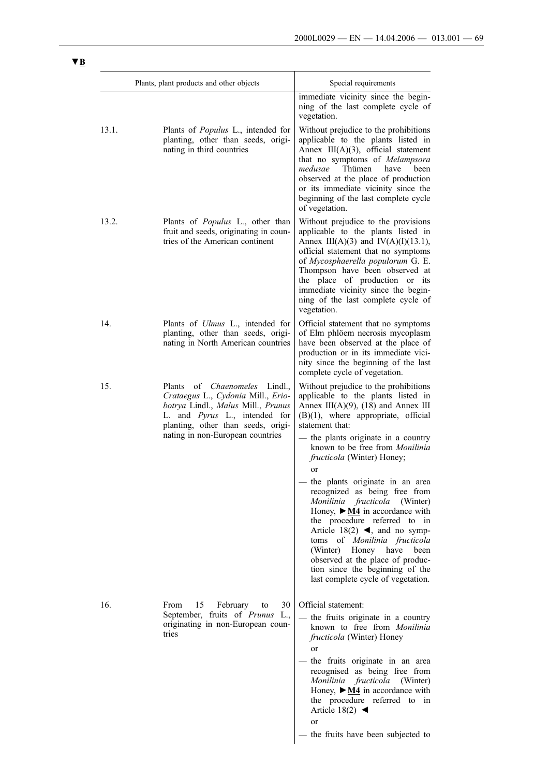|       | Plants, plant products and other objects                                                                                                                                                                                       | Special requirements                                                                                                                                                                                                                                                                                                                                                                                                                                                                                                                                                                                                                                                                                                             |
|-------|--------------------------------------------------------------------------------------------------------------------------------------------------------------------------------------------------------------------------------|----------------------------------------------------------------------------------------------------------------------------------------------------------------------------------------------------------------------------------------------------------------------------------------------------------------------------------------------------------------------------------------------------------------------------------------------------------------------------------------------------------------------------------------------------------------------------------------------------------------------------------------------------------------------------------------------------------------------------------|
|       |                                                                                                                                                                                                                                | immediate vicinity since the begin-<br>ning of the last complete cycle of<br>vegetation.                                                                                                                                                                                                                                                                                                                                                                                                                                                                                                                                                                                                                                         |
| 13.1. | Plants of <i>Populus</i> L., intended for<br>planting, other than seeds, origi-<br>nating in third countries                                                                                                                   | Without prejudice to the prohibitions<br>applicable to the plants listed in<br>Annex $III(A)(3)$ , official statement<br>that no symptoms of Melampsora<br>Thümen<br>medusae<br>have<br>been<br>observed at the place of production<br>or its immediate vicinity since the<br>beginning of the last complete cycle<br>of vegetation.                                                                                                                                                                                                                                                                                                                                                                                             |
| 13.2. | Plants of Populus L., other than<br>fruit and seeds, originating in coun-<br>tries of the American continent                                                                                                                   | Without prejudice to the provisions<br>applicable to the plants listed in<br>Annex III(A)(3) and IV(A)(I)(13.1),<br>official statement that no symptoms<br>of Mycosphaerella populorum G. E.<br>Thompson have been observed at<br>the place of production or its<br>immediate vicinity since the begin-<br>ning of the last complete cycle of<br>vegetation.                                                                                                                                                                                                                                                                                                                                                                     |
| 14.   | Plants of <i>Ulmus</i> L., intended for<br>planting, other than seeds, origi-<br>nating in North American countries                                                                                                            | Official statement that no symptoms<br>of Elm phlöem necrosis mycoplasm<br>have been observed at the place of<br>production or in its immediate vici-<br>nity since the beginning of the last<br>complete cycle of vegetation.                                                                                                                                                                                                                                                                                                                                                                                                                                                                                                   |
| 15.   | of <i>Chaenomeles</i> Lindl.,<br>Plants<br>Crataegus L., Cydonia Mill., Erio-<br>botrya Lindl., Malus Mill., Prunus<br>L. and Pyrus L., intended for<br>planting, other than seeds, origi-<br>nating in non-European countries | Without prejudice to the prohibitions<br>applicable to the plants listed in<br>Annex III(A)(9), (18) and Annex III<br>$(B)(1)$ , where appropriate, official<br>statement that:<br>the plants originate in a country<br>known to be free from <i>Monilinia</i><br>fructicola (Winter) Honey;<br>or<br>the plants originate in an area<br>recognized as being free from<br>Monilinia fructicola (Winter)<br>Honey, $\triangleright$ <u>M4</u> in accordance with<br>the procedure referred to in<br>Article 18(2) $\blacktriangleleft$ , and no symp-<br>toms of Monilinia fructicola<br>(Winter) Honey have<br>been<br>observed at the place of produc-<br>tion since the beginning of the<br>last complete cycle of vegetation. |
| 16.   | 15<br>February<br>30<br>From<br>to<br>September, fruits of Prunus L.,<br>originating in non-European coun-<br>tries                                                                                                            | Official statement:<br>the fruits originate in a country<br>known to free from <i>Monilinia</i><br>fructicola (Winter) Honey<br><sub>or</sub><br>the fruits originate in an area<br>recognised as being free from<br>Monilinia fructicola (Winter)<br>Honey, $\triangleright$ <u>M4</u> in accordance with<br>the procedure referred to in<br>Article 18(2) $\blacktriangleleft$<br>or<br>the fruits have been subjected to                                                                                                                                                                                                                                                                                                      |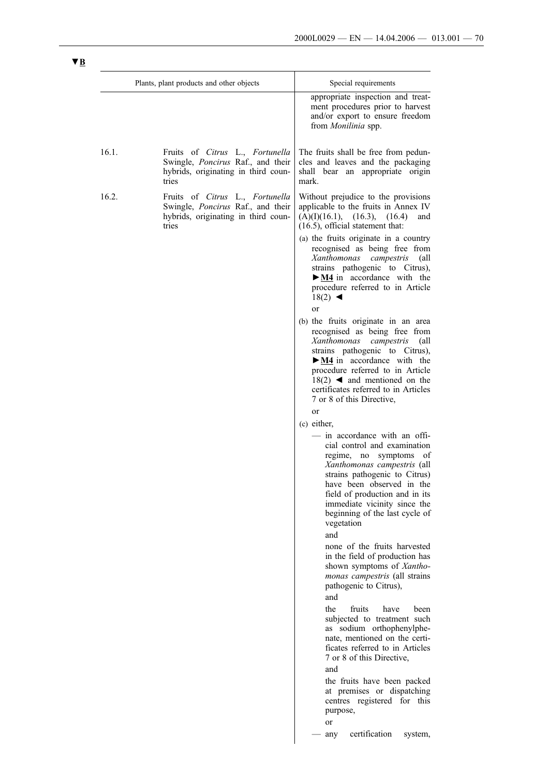|       | Plants, plant products and other objects                                                                             | Special requirements                                                                                                                                                                                                                                                                                                                             |
|-------|----------------------------------------------------------------------------------------------------------------------|--------------------------------------------------------------------------------------------------------------------------------------------------------------------------------------------------------------------------------------------------------------------------------------------------------------------------------------------------|
|       |                                                                                                                      | appropriate inspection and treat-<br>ment procedures prior to harvest<br>and/or export to ensure freedom<br>from Monilinia spp.                                                                                                                                                                                                                  |
| 16.1. | Fruits of Citrus L., Fortunella<br>Swingle, Poncirus Raf., and their<br>hybrids, originating in third coun-<br>tries | The fruits shall be free from pedun-<br>cles and leaves and the packaging<br>shall bear an appropriate origin<br>mark.                                                                                                                                                                                                                           |
| 16.2. | Fruits of Citrus L., Fortunella<br>Swingle, Poncirus Raf., and their<br>hybrids, originating in third coun-<br>tries | Without prejudice to the provisions<br>applicable to the fruits in Annex IV<br>(A)(I)(16.1), (16.3),<br>(16.4)<br>and<br>$(16.5)$ , official statement that:                                                                                                                                                                                     |
|       |                                                                                                                      | (a) the fruits originate in a country<br>recognised as being free from<br>Xanthomonas<br>campestris<br>(all<br>strains pathogenic to Citrus),<br>$\triangleright$ <u>M4</u> in accordance with the<br>procedure referred to in Article<br>$18(2)$ <<br>or                                                                                        |
|       |                                                                                                                      | (b) the fruits originate in an area<br>recognised as being free from<br>Xanthomonas campestris<br>(all<br>strains pathogenic to Citrus),<br>$\triangleright$ <u>M4</u> in accordance with the<br>procedure referred to in Article<br>$18(2)$ <b>4</b> and mentioned on the<br>certificates referred to in Articles<br>7 or 8 of this Directive,  |
|       |                                                                                                                      | <sub>or</sub><br>(c) either,                                                                                                                                                                                                                                                                                                                     |
|       |                                                                                                                      | - in accordance with an offi-<br>cial control and examination<br>regime, no symptoms<br>οf<br>Xanthomonas campestris (all<br>strains pathogenic to Citrus)<br>have been observed in the<br>field of production and in its<br>immediate vicinity since the<br>beginning of the last cycle of<br>vegetation<br>and<br>none of the fruits harvested |
|       |                                                                                                                      | in the field of production has<br>shown symptoms of Xantho-<br>monas campestris (all strains<br>pathogenic to Citrus),<br>and                                                                                                                                                                                                                    |
|       |                                                                                                                      | the<br>fruits<br>have<br>been<br>subjected to treatment such<br>as sodium orthophenylphe-<br>nate, mentioned on the certi-<br>ficates referred to in Articles<br>7 or 8 of this Directive,<br>and                                                                                                                                                |
|       |                                                                                                                      | the fruits have been packed<br>at premises or dispatching<br>centres registered for this<br>purpose,<br>or                                                                                                                                                                                                                                       |
|       |                                                                                                                      | certification                                                                                                                                                                                                                                                                                                                                    |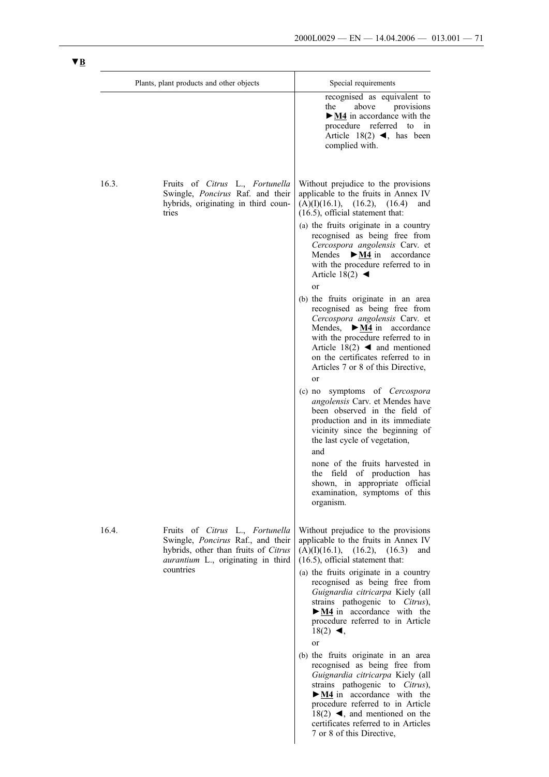|       | Plants, plant products and other objects                                                                                                           | Special requirements                                                                                                                                                                                                                                                                                                                                                                                            |
|-------|----------------------------------------------------------------------------------------------------------------------------------------------------|-----------------------------------------------------------------------------------------------------------------------------------------------------------------------------------------------------------------------------------------------------------------------------------------------------------------------------------------------------------------------------------------------------------------|
|       |                                                                                                                                                    | recognised as equivalent to<br>the<br>above provisions<br>$\triangleright$ M4 in accordance with the<br>procedure referred to in<br>Article 18(2) $\blacktriangleleft$ , has been<br>complied with.                                                                                                                                                                                                             |
| 16.3. | Fruits of Citrus L., Fortunella<br>Swingle, Poncirus Raf. and their<br>hybrids, originating in third coun-<br>tries                                | Without prejudice to the provisions<br>applicable to the fruits in Annex IV<br>(A)(I)(16.1), (16.2),<br>(16.4)<br>and<br>$(16.5)$ , official statement that:<br>(a) the fruits originate in a country<br>recognised as being free from<br>Cercospora angolensis Carv. et<br>Mendes<br>$\triangleright$ <u>M4</u> in accordance<br>with the procedure referred to in<br>Article 18(2) $\blacktriangleleft$<br>or |
|       |                                                                                                                                                    | (b) the fruits originate in an area<br>recognised as being free from<br>Cercospora angolensis Carv. et<br>Mendes, $\triangleright$ <u>M4</u> in accordance<br>with the procedure referred to in<br>Article 18(2) $\blacktriangleleft$ and mentioned<br>on the certificates referred to in<br>Articles 7 or 8 of this Directive,<br><b>or</b><br>symptoms of Cercospora<br>$(c)$ no                              |
|       |                                                                                                                                                    | angolensis Carv. et Mendes have<br>been observed in the field of<br>production and in its immediate<br>vicinity since the beginning of<br>the last cycle of vegetation,<br>and<br>none of the fruits harvested in                                                                                                                                                                                               |
|       |                                                                                                                                                    | the field of production has<br>shown, in appropriate official<br>examination, symptoms of this<br>organism.                                                                                                                                                                                                                                                                                                     |
| 16.4. | Fruits of Citrus L., Fortunella<br>Swingle, Poncirus Raf., and their<br>hybrids, other than fruits of Citrus<br>aurantium L., originating in third | Without prejudice to the provisions<br>applicable to the fruits in Annex IV<br>(A)(I)(16.1),<br>(16.2), (16.3)<br>and<br>$(16.5)$ , official statement that:                                                                                                                                                                                                                                                    |
|       | countries                                                                                                                                          | (a) the fruits originate in a country<br>recognised as being free from<br>Guignardia citricarpa Kiely (all<br>strains pathogenic to Citrus),<br>$\triangleright$ M4 in accordance with the<br>procedure referred to in Article<br>$18(2)$ <,<br><sub>or</sub>                                                                                                                                                   |
|       |                                                                                                                                                    | (b) the fruits originate in an area<br>recognised as being free from<br>Guignardia citricarpa Kiely (all<br>strains pathogenic to Citrus),<br>$\triangleright$ M4 in accordance with the<br>procedure referred to in Article<br>18(2) $\blacktriangleleft$ , and mentioned on the<br>certificates referred to in Articles                                                                                       |

7 or 8 of this Directive,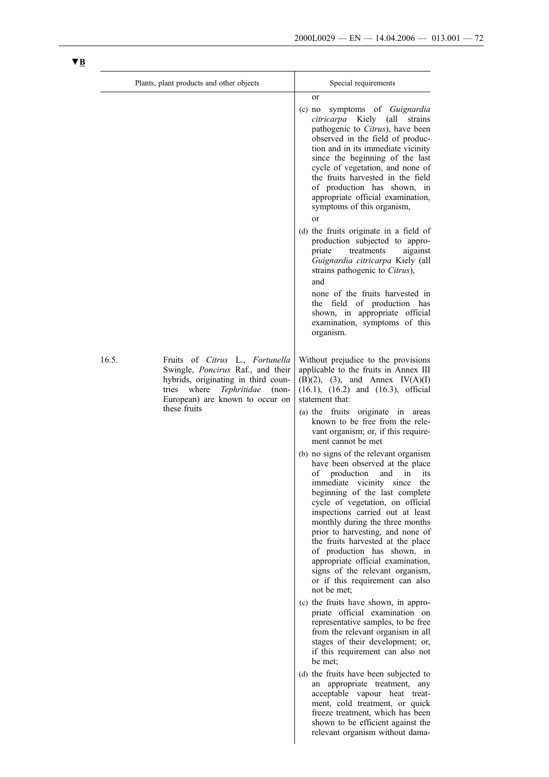|       | Plants, plant products and other objects                                                                                                                                                                   | Special requirements                                                                                                                                                                                                                                                                                                                                                                                                                                                                                                                                                                                                                                                                                                                                                                                                                                                                                                                                                                                                                                                                                                                                                                                                                                                                                                                                          |
|-------|------------------------------------------------------------------------------------------------------------------------------------------------------------------------------------------------------------|---------------------------------------------------------------------------------------------------------------------------------------------------------------------------------------------------------------------------------------------------------------------------------------------------------------------------------------------------------------------------------------------------------------------------------------------------------------------------------------------------------------------------------------------------------------------------------------------------------------------------------------------------------------------------------------------------------------------------------------------------------------------------------------------------------------------------------------------------------------------------------------------------------------------------------------------------------------------------------------------------------------------------------------------------------------------------------------------------------------------------------------------------------------------------------------------------------------------------------------------------------------------------------------------------------------------------------------------------------------|
|       |                                                                                                                                                                                                            | or<br>symptoms of <i>Guignardia</i><br>$(c)$ no<br>citricarpa Kiely (all strains<br>pathogenic to Citrus), have been<br>observed in the field of produc-<br>tion and in its immediate vicinity<br>since the beginning of the last<br>cycle of vegetation, and none of<br>the fruits harvested in the field<br>of production has shown, in<br>appropriate official examination,<br>symptoms of this organism,<br><sub>or</sub><br>(d) the fruits originate in a field of<br>production subjected to appro-<br>priate<br>treatments<br>aigainst<br>Guignardia citricarpa Kiely (all<br>strains pathogenic to Citrus),<br>and<br>none of the fruits harvested in<br>the field of production has<br>shown, in appropriate official<br>examination, symptoms of this<br>organism.                                                                                                                                                                                                                                                                                                                                                                                                                                                                                                                                                                                  |
| 16.5. | Fruits of Citrus L., Fortunella<br>Swingle, Poncirus Raf., and their<br>hybrids, originating in third coun-<br>Tephritidae<br>tries<br>where<br>$(non-$<br>European) are known to occur on<br>these fruits | Without prejudice to the provisions<br>applicable to the fruits in Annex III<br>$(B)(2)$ , $(3)$ , and Annex IV $(A)(I)$<br>$(16.1)$ , $(16.2)$ and $(16.3)$ , official<br>statement that:<br>(a) the fruits originate in areas<br>known to be free from the rele-<br>vant organism; or, if this require-<br>ment cannot be met<br>(b) no signs of the relevant organism<br>have been observed at the place<br>of production<br>and in its<br>immediate vicinity since the<br>beginning of the last complete<br>cycle of vegetation, on official<br>inspections carried out at least<br>monthly during the three months<br>prior to harvesting, and none of<br>the fruits harvested at the place<br>of production has shown, in<br>appropriate official examination,<br>signs of the relevant organism,<br>or if this requirement can also<br>not be met;<br>(c) the fruits have shown, in appro-<br>priate official examination on<br>representative samples, to be free<br>from the relevant organism in all<br>stages of their development; or,<br>if this requirement can also not<br>be met:<br>(d) the fruits have been subjected to<br>appropriate treatment, any<br>an<br>acceptable vapour heat treat-<br>ment, cold treatment, or quick<br>freeze treatment, which has been<br>shown to be efficient against the<br>relevant organism without dama- |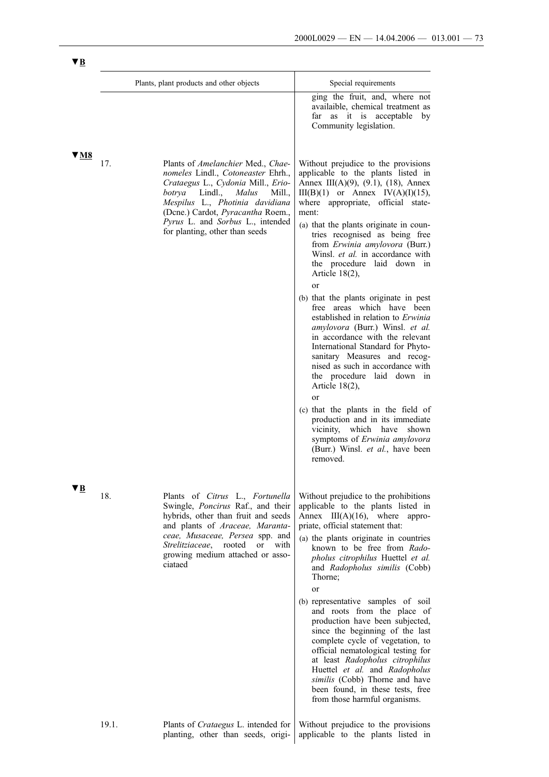|      |       | Plants, plant products and other objects                                                                                                                                                                                                                                                            | Special requirements                                                                                                                                                                                                                                                                                                                                                                                                                                                                                                                                                                                                                                                                                                                                                     |
|------|-------|-----------------------------------------------------------------------------------------------------------------------------------------------------------------------------------------------------------------------------------------------------------------------------------------------------|--------------------------------------------------------------------------------------------------------------------------------------------------------------------------------------------------------------------------------------------------------------------------------------------------------------------------------------------------------------------------------------------------------------------------------------------------------------------------------------------------------------------------------------------------------------------------------------------------------------------------------------------------------------------------------------------------------------------------------------------------------------------------|
|      |       |                                                                                                                                                                                                                                                                                                     | ging the fruit, and, where not<br>availaible, chemical treatment as<br>far as it is acceptable<br>by<br>Community legislation.                                                                                                                                                                                                                                                                                                                                                                                                                                                                                                                                                                                                                                           |
| V M8 | 17.   | Plants of Amelanchier Med., Chae-<br>nomeles Lindl., Cotoneaster Ehrh.,<br>Crataegus L., Cydonia Mill., Erio-<br>Lindl.,<br>Malus<br>botrva<br>Mill.,<br>Mespilus L., Photinia davidiana<br>(Dene.) Cardot, Pyracantha Roem.,<br>Pyrus L. and Sorbus L., intended<br>for planting, other than seeds | Without prejudice to the provisions<br>applicable to the plants listed in<br>Annex III(A)(9), $(9.1)$ , $(18)$ , Annex<br>$III(B)(1)$ or Annex $IV(A)(I)(15)$ ,<br>where appropriate, official state-<br>ment:<br>(a) that the plants originate in coun-<br>tries recognised as being free<br>from Erwinia amylovora (Burr.)<br>Winsl. et al. in accordance with<br>the procedure laid down in<br>Article $18(2)$ ,<br>or<br>(b) that the plants originate in pest<br>free areas which have been<br>established in relation to Erwinia<br>amylovora (Burr.) Winsl. et al.<br>in accordance with the relevant<br>International Standard for Phyto-<br>sanitary Measures and recog-<br>nised as such in accordance with<br>the procedure laid down in<br>Article $18(2)$ , |
|      |       |                                                                                                                                                                                                                                                                                                     | <sub>or</sub><br>(c) that the plants in the field of<br>production and in its immediate<br>vicinity, which have<br>shown<br>symptoms of Erwinia amylovora<br>(Burr.) Winsl. et al., have been<br>removed.                                                                                                                                                                                                                                                                                                                                                                                                                                                                                                                                                                |
| УB   | 18.   | Plants of Citrus L., Fortunella<br>Swingle, Poncirus Raf., and their<br>hybrids, other than fruit and seeds<br>and plants of Araceae, Maranta-<br>ceae, Musaceae, Persea spp. and<br>Strelitziaceae,<br>rooted or<br>with<br>growing medium attached or asso-<br>ciataed                            | Without prejudice to the prohibitions<br>applicable to the plants listed in<br>Annex $III(A)(16)$ , where appro-<br>priate, official statement that:<br>(a) the plants originate in countries<br>known to be free from Rado-<br>pholus citrophilus Huettel et al.<br>and Radopholus similis (Cobb)<br>Thorne;<br>or<br>(b) representative samples of soil<br>and roots from the place of<br>production have been subjected,<br>since the beginning of the last<br>complete cycle of vegetation, to<br>official nematological testing for<br>at least Radopholus citrophilus<br>Huettel et al. and Radopholus<br>similis (Cobb) Thorne and have<br>been found, in these tests, free                                                                                       |
|      | 19.1. | Plants of <i>Crataegus</i> L. intended for<br>planting, other than seeds, origi-                                                                                                                                                                                                                    | from those harmful organisms.<br>Without prejudice to the provisions<br>applicable to the plants listed in                                                                                                                                                                                                                                                                                                                                                                                                                                                                                                                                                                                                                                                               |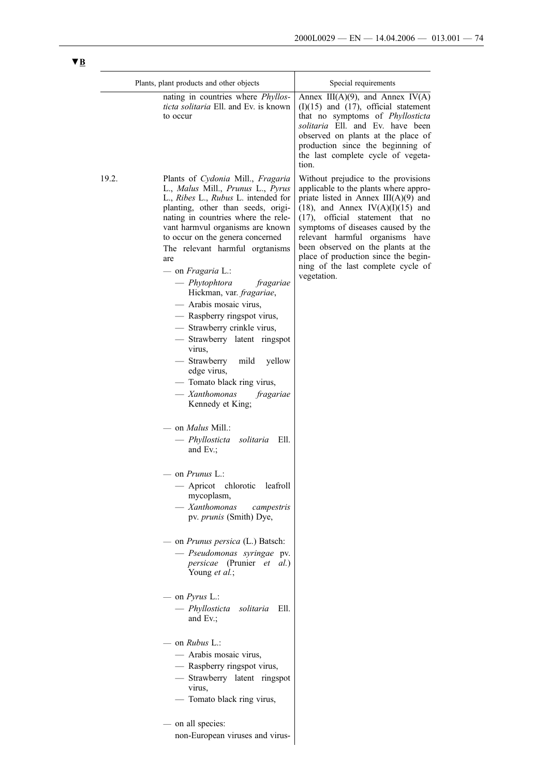| Plants, plant products and other objects |                                                                                                                                                                                                                                                                                                                                                                                                                                                                                                                                                                                                                                                                                                                                                                                                                                                                                                                                                                                                                                                                                                                                                                                                                                                                                  | Special requirements                                                                                                                                                                                                                                                                                                                                                                                                |  |
|------------------------------------------|----------------------------------------------------------------------------------------------------------------------------------------------------------------------------------------------------------------------------------------------------------------------------------------------------------------------------------------------------------------------------------------------------------------------------------------------------------------------------------------------------------------------------------------------------------------------------------------------------------------------------------------------------------------------------------------------------------------------------------------------------------------------------------------------------------------------------------------------------------------------------------------------------------------------------------------------------------------------------------------------------------------------------------------------------------------------------------------------------------------------------------------------------------------------------------------------------------------------------------------------------------------------------------|---------------------------------------------------------------------------------------------------------------------------------------------------------------------------------------------------------------------------------------------------------------------------------------------------------------------------------------------------------------------------------------------------------------------|--|
|                                          | nating in countries where <i>Phyllos-</i><br>ticta solitaria Ell. and Ev. is known<br>to occur                                                                                                                                                                                                                                                                                                                                                                                                                                                                                                                                                                                                                                                                                                                                                                                                                                                                                                                                                                                                                                                                                                                                                                                   | Annex III(A)(9), and Annex IV(A)<br>$(I)(15)$ and $(17)$ , official statement<br>that no symptoms of Phyllosticta<br>solitaria Ell. and Ev. have been<br>observed on plants at the place of<br>production since the beginning of<br>the last complete cycle of vegeta-<br>tion.                                                                                                                                     |  |
| 19.2.                                    | Plants of Cydonia Mill., Fragaria<br>L., Malus Mill., Prunus L., Pyrus<br>L., Ribes L., Rubus L. intended for<br>planting, other than seeds, origi-<br>nating in countries where the rele-<br>vant harmvul organisms are known<br>to occur on the genera concerned<br>The relevant harmful organisms<br>are<br>$-$ on <i>Fragaria</i> L.:<br>$-$ Phytophtora<br>fragariae<br>Hickman, var. fragariae,<br>- Arabis mosaic virus,<br>- Raspberry ringspot virus,<br>- Strawberry crinkle virus,<br>- Strawberry latent ringspot<br>virus,<br>— Strawberry<br>mild<br>yellow<br>edge virus,<br>- Tomato black ring virus,<br>— Xanthomonas<br>fragariae<br>Kennedy et King;<br>on <i>Malus</i> Mill.:<br>— Phyllosticta<br>solitaria<br>Ell.<br>and Ev.;<br>– on <i>Prunus</i> L.:<br>- Apricot<br>chlorotic<br>leatroll<br>mycoplasm,<br>— Xanthomonas<br>campestris<br>pv. prunis (Smith) Dye,<br>— on <i>Prunus persica</i> (L.) Batsch:<br>— Pseudomonas syringae pv.<br>persicae (Prunier et al.)<br>Young et al.;<br>$-$ on <i>Pyrus</i> L.:<br>— Phyllosticta<br>solitaria<br>Ell.<br>and $Ev$ .;<br>on <i>Rubus</i> L.:<br>— Arabis mosaic virus,<br>- Raspberry ringspot virus,<br>- Strawberry latent ringspot<br>virus,<br>- Tomato black ring virus,<br>on all species: | Without prejudice to the provisions<br>applicable to the plants where appro-<br>priate listed in Annex $III(A)(9)$ and<br>$(18)$ , and Annex IV $(A)(I)(15)$ and<br>$(17)$ , official statement that no<br>symptoms of diseases caused by the<br>relevant harmful organisms have<br>been observed on the plants at the<br>place of production since the begin-<br>ning of the last complete cycle of<br>vegetation. |  |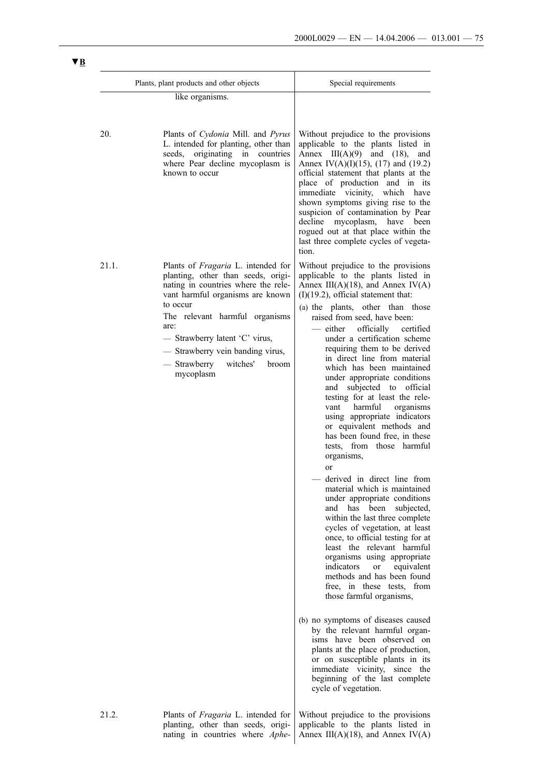|       | Plants, plant products and other objects                                                                                                                                                                                                                                                                                                 | Special requirements                                                                                                                                                                                                                                                                                                                                                                                                                                                                                                                                                                                                                                                                                                                                                                                                                                                                                                                                                                                                                                                                                                                                                                                                                                                                                                                                                            |  |
|-------|------------------------------------------------------------------------------------------------------------------------------------------------------------------------------------------------------------------------------------------------------------------------------------------------------------------------------------------|---------------------------------------------------------------------------------------------------------------------------------------------------------------------------------------------------------------------------------------------------------------------------------------------------------------------------------------------------------------------------------------------------------------------------------------------------------------------------------------------------------------------------------------------------------------------------------------------------------------------------------------------------------------------------------------------------------------------------------------------------------------------------------------------------------------------------------------------------------------------------------------------------------------------------------------------------------------------------------------------------------------------------------------------------------------------------------------------------------------------------------------------------------------------------------------------------------------------------------------------------------------------------------------------------------------------------------------------------------------------------------|--|
|       | like organisms.                                                                                                                                                                                                                                                                                                                          |                                                                                                                                                                                                                                                                                                                                                                                                                                                                                                                                                                                                                                                                                                                                                                                                                                                                                                                                                                                                                                                                                                                                                                                                                                                                                                                                                                                 |  |
| 20.   | Plants of Cydonia Mill. and Pyrus<br>L. intended for planting, other than<br>originating in countries<br>seeds,<br>where Pear decline mycoplasm is<br>known to occur                                                                                                                                                                     | Without prejudice to the provisions<br>applicable to the plants listed in<br>Annex $III(A)(9)$ and $(18)$ , and<br>Annex IV(A)(I)(15), (17) and (19.2)<br>official statement that plants at the<br>place of production and in its<br>immediate vicinity, which<br>have<br>shown symptoms giving rise to the<br>suspicion of contamination by Pear<br>decline<br>mycoplasm,<br>have<br>been<br>rogued out at that place within the<br>last three complete cycles of vegeta-<br>tion.                                                                                                                                                                                                                                                                                                                                                                                                                                                                                                                                                                                                                                                                                                                                                                                                                                                                                             |  |
| 21.1. | Plants of <i>Fragaria</i> L. intended for<br>planting, other than seeds, origi-<br>nating in countries where the rele-<br>vant harmful organisms are known<br>to occur<br>The relevant harmful organisms<br>are:<br>- Strawberry latent 'C' virus,<br>- Strawberry vein banding virus,<br>- Strawberry<br>witches'<br>broom<br>mycoplasm | Without prejudice to the provisions<br>applicable to the plants listed in<br>Annex III(A)(18), and Annex IV(A)<br>$(I)(19.2)$ , official statement that:<br>(a) the plants, other than those<br>raised from seed, have been:<br>either<br>officially<br>certified<br>under a certification scheme<br>requiring them to be derived<br>in direct line from material<br>which has been maintained<br>under appropriate conditions<br>and subjected to<br>official<br>testing for at least the rele-<br>harmful<br>organisms<br>vant<br>using appropriate indicators<br>or equivalent methods and<br>has been found free, in these<br>tests, from those harmful<br>organisms,<br>or<br>derived in direct line from<br>material which is maintained<br>under appropriate conditions<br>and has been subjected,<br>within the last three complete<br>cycles of vegetation, at least<br>once, to official testing for at<br>least the relevant harmful<br>organisms using appropriate<br>indicators<br>or equivalent<br>methods and has been found<br>free, in these tests, from<br>those farmful organisms,<br>(b) no symptoms of diseases caused<br>by the relevant harmful organ-<br>isms have been observed on<br>plants at the place of production,<br>or on susceptible plants in its<br>immediate vicinity, since the<br>beginning of the last complete<br>cycle of vegetation. |  |
| 21.2. | Plants of <i>Fragaria</i> L. intended for                                                                                                                                                                                                                                                                                                | Without prejudice to the provisions                                                                                                                                                                                                                                                                                                                                                                                                                                                                                                                                                                                                                                                                                                                                                                                                                                                                                                                                                                                                                                                                                                                                                                                                                                                                                                                                             |  |

planting, other than seeds, originating in countries where *Aphe*applicable to the plants listed in Annex  $III(A)(18)$ , and Annex  $IV(A)$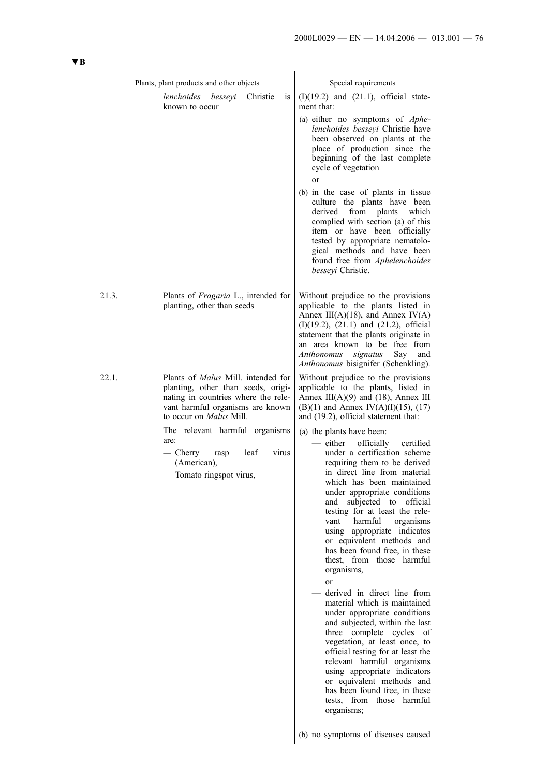|       | Plants, plant products and other objects                                                                                                                                                                                                                                                                          | Special requirements                                                                                                                                                                                                                                                                                                                                                                                                                                                                                                                                                                                                                                                                                                                                                                                                                                                                                                                                                                                                                                                                                                                           |
|-------|-------------------------------------------------------------------------------------------------------------------------------------------------------------------------------------------------------------------------------------------------------------------------------------------------------------------|------------------------------------------------------------------------------------------------------------------------------------------------------------------------------------------------------------------------------------------------------------------------------------------------------------------------------------------------------------------------------------------------------------------------------------------------------------------------------------------------------------------------------------------------------------------------------------------------------------------------------------------------------------------------------------------------------------------------------------------------------------------------------------------------------------------------------------------------------------------------------------------------------------------------------------------------------------------------------------------------------------------------------------------------------------------------------------------------------------------------------------------------|
|       | lenchoides<br>besseyi<br>Christie<br><sub>is</sub><br>known to occur                                                                                                                                                                                                                                              | $(I)(19.2)$ and $(21.1)$ , official state-<br>ment that:<br>(a) either no symptoms of Aphe-<br>lenchoides besseyi Christie have<br>been observed on plants at the<br>place of production since the<br>beginning of the last complete<br>cycle of vegetation<br><sub>or</sub><br>(b) in the case of plants in tissue<br>culture the plants have been<br>from<br>plants<br>which<br>derived<br>complied with section (a) of this<br>item or have been officially<br>tested by appropriate nematolo-<br>gical methods and have been<br>found free from Aphelenchoides<br>besseyi Christie.                                                                                                                                                                                                                                                                                                                                                                                                                                                                                                                                                        |
| 21.3. | Plants of Fragaria L., intended for<br>planting, other than seeds                                                                                                                                                                                                                                                 | Without prejudice to the provisions<br>applicable to the plants listed in<br>Annex III(A)(18), and Annex IV(A)<br>$(I)(19.2)$ , $(21.1)$ and $(21.2)$ , official<br>statement that the plants originate in<br>an area known to be free from<br>Say<br>Anthonomus<br>signatus<br>and<br>Anthonomus bisignifer (Schenkling).                                                                                                                                                                                                                                                                                                                                                                                                                                                                                                                                                                                                                                                                                                                                                                                                                     |
| 22.1. | Plants of <i>Malus</i> Mill. intended for<br>planting, other than seeds, origi-<br>nating in countries where the rele-<br>vant harmful organisms are known<br>to occur on Malus Mill.<br>The relevant harmful organisms<br>are:<br>$-$ Cherry<br>leaf<br>virus<br>rasp<br>(American),<br>- Tomato ringspot virus, | Without prejudice to the provisions<br>applicable to the plants, listed in<br>Annex III(A)(9) and (18), Annex III<br>$(B)(1)$ and Annex IV $(A)(I)(15)$ , $(17)$<br>and (19.2), official statement that:<br>(a) the plants have been:<br>— either officially<br>certified<br>under a certification scheme<br>requiring them to be derived<br>in direct line from material<br>which has been maintained<br>under appropriate conditions<br>subjected to<br>official<br>and<br>testing for at least the rele-<br>harmful<br>organisms<br>vant<br>using appropriate indicatos<br>or equivalent methods and<br>has been found free, in these<br>thest, from those harmful<br>organisms,<br>or<br>derived in direct line from<br>material which is maintained<br>under appropriate conditions<br>and subjected, within the last<br>three complete cycles<br>- of<br>vegetation, at least once, to<br>official testing for at least the<br>relevant harmful organisms<br>using appropriate indicators<br>or equivalent methods and<br>has been found free, in these<br>tests, from those harmful<br>organisms;<br>(b) no symptoms of diseases caused |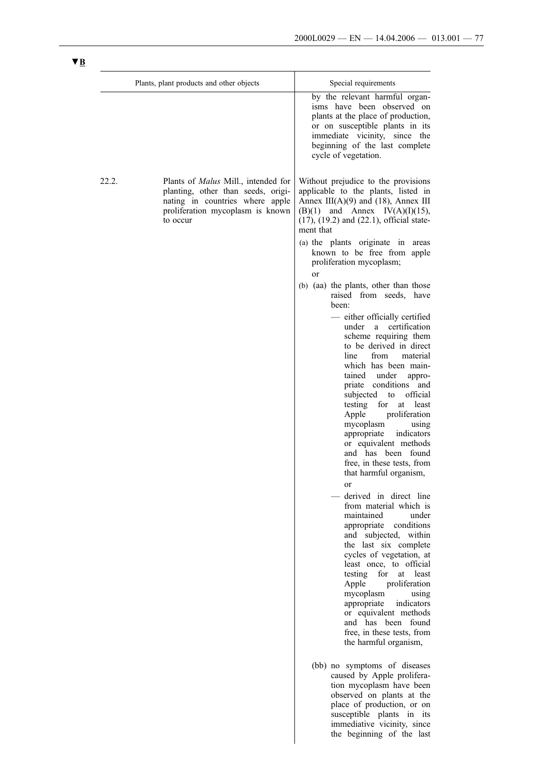the beginning of the last

|       | Plants, plant products and other objects                                                                                                                     | Special requirements                                                                                                                                                                                                                                                                                                                                                                                                                                                                                                                                                                                                                                                                                                                                                                                                                                                                                                                                                                            |
|-------|--------------------------------------------------------------------------------------------------------------------------------------------------------------|-------------------------------------------------------------------------------------------------------------------------------------------------------------------------------------------------------------------------------------------------------------------------------------------------------------------------------------------------------------------------------------------------------------------------------------------------------------------------------------------------------------------------------------------------------------------------------------------------------------------------------------------------------------------------------------------------------------------------------------------------------------------------------------------------------------------------------------------------------------------------------------------------------------------------------------------------------------------------------------------------|
|       |                                                                                                                                                              | by the relevant harmful organ-<br>isms have been observed on<br>plants at the place of production,<br>or on susceptible plants in its<br>immediate vicinity, since the<br>beginning of the last complete<br>cycle of vegetation.                                                                                                                                                                                                                                                                                                                                                                                                                                                                                                                                                                                                                                                                                                                                                                |
| 22.2. | Plants of Malus Mill., intended for<br>planting, other than seeds, origi-<br>nating in countries where apple<br>proliferation mycoplasm is known<br>to occur | Without prejudice to the provisions<br>applicable to the plants, listed in<br>Annex III(A)(9) and (18), Annex III<br>$(B)(1)$ and Annex $IV(A)(I)(15)$ ,<br>$(17)$ , $(19.2)$ and $(22.1)$ , official state-<br>ment that                                                                                                                                                                                                                                                                                                                                                                                                                                                                                                                                                                                                                                                                                                                                                                       |
|       |                                                                                                                                                              | (a) the plants originate in areas<br>known to be free from apple<br>proliferation mycoplasm;<br><sub>or</sub>                                                                                                                                                                                                                                                                                                                                                                                                                                                                                                                                                                                                                                                                                                                                                                                                                                                                                   |
|       |                                                                                                                                                              | (b) (aa) the plants, other than those<br>raised from seeds, have<br>been:<br>- either officially certified<br>certification<br>under<br>a -<br>scheme requiring them<br>to be derived in direct<br>from<br>line<br>material<br>which has been main-<br>tained under<br>appro-<br>priate conditions and<br>official<br>subjected<br>to<br>testing for<br>at least<br>proliferation<br>Apple<br>mycoplasm<br>using<br>appropriate<br>indicators<br>or equivalent methods<br>and has been found<br>free, in these tests, from<br>that harmful organism,<br>or<br>derived in direct line<br>from material which is<br>maintained<br>under<br>conditions<br>appropriate<br>and subjected, within<br>the last six complete<br>cycles of vegetation, at<br>least once, to official<br>testing<br>for<br>least<br>at<br>proliferation<br>Apple<br>mycoplasm<br>using<br>appropriate<br>indicators<br>or equivalent methods<br>and has been found<br>free, in these tests, from<br>the harmful organism, |
|       |                                                                                                                                                              | (bb) no symptoms of diseases<br>caused by Apple prolifera-<br>tion mycoplasm have been<br>observed on plants at the<br>place of production, or on<br>susceptible plants in its<br>immediative vicinity, since                                                                                                                                                                                                                                                                                                                                                                                                                                                                                                                                                                                                                                                                                                                                                                                   |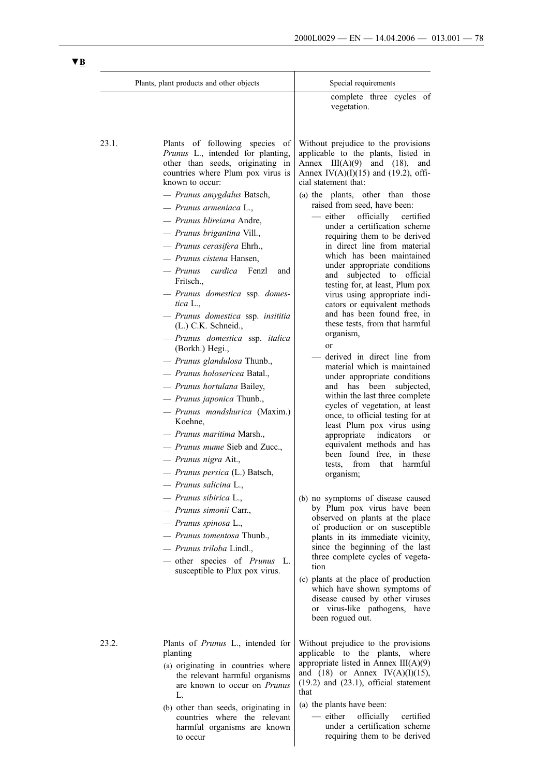|       | Plants, plant products and other objects                                                                                                                                                                                                                                                                                                                                                                                                                                                                                                                                                                                                                                                                                                                                                                                                                                                                                             | Special requirements                                                                                                                                                                                                                                                                                                                                                                                                                                                                                                                                                                                                                                                                                                                                                                                                                                                                                                                                                                                                                                                                                                                                                                                                                                                                                                                          |
|-------|--------------------------------------------------------------------------------------------------------------------------------------------------------------------------------------------------------------------------------------------------------------------------------------------------------------------------------------------------------------------------------------------------------------------------------------------------------------------------------------------------------------------------------------------------------------------------------------------------------------------------------------------------------------------------------------------------------------------------------------------------------------------------------------------------------------------------------------------------------------------------------------------------------------------------------------|-----------------------------------------------------------------------------------------------------------------------------------------------------------------------------------------------------------------------------------------------------------------------------------------------------------------------------------------------------------------------------------------------------------------------------------------------------------------------------------------------------------------------------------------------------------------------------------------------------------------------------------------------------------------------------------------------------------------------------------------------------------------------------------------------------------------------------------------------------------------------------------------------------------------------------------------------------------------------------------------------------------------------------------------------------------------------------------------------------------------------------------------------------------------------------------------------------------------------------------------------------------------------------------------------------------------------------------------------|
|       |                                                                                                                                                                                                                                                                                                                                                                                                                                                                                                                                                                                                                                                                                                                                                                                                                                                                                                                                      | complete three cycles of<br>vegetation.                                                                                                                                                                                                                                                                                                                                                                                                                                                                                                                                                                                                                                                                                                                                                                                                                                                                                                                                                                                                                                                                                                                                                                                                                                                                                                       |
| 23.1. | Plants of following species of<br>Prunus L., intended for planting,<br>other than seeds, originating in<br>countries where Plum pox virus is<br>known to occur:                                                                                                                                                                                                                                                                                                                                                                                                                                                                                                                                                                                                                                                                                                                                                                      | Without prejudice to the provisions<br>applicable to the plants, listed in<br>Annex $III(A)(9)$ and $(18)$ ,<br>and<br>Annex IV(A)(I)(15) and (19.2), offi-<br>cial statement that:                                                                                                                                                                                                                                                                                                                                                                                                                                                                                                                                                                                                                                                                                                                                                                                                                                                                                                                                                                                                                                                                                                                                                           |
|       | — Prunus amygdalus Batsch,<br>$-$ Prunus armeniaca L.,<br>— Prunus blireiana Andre,<br>— Prunus brigantina Vill.,<br>- Prunus cerasifera Ehrh.,<br>— Prunus cistena Hansen.<br>- Prunus curdica Fenzl<br>and<br>Fritsch.,<br>- Prunus domestica ssp. domes-<br>tica L.<br>- Prunus domestica ssp. insititia<br>(L.) C.K. Schneid.,<br>- Prunus domestica ssp. italica<br>(Borkh.) Hegi.,<br>- Prunus glandulosa Thunb.,<br>— Prunus holosericea Batal.,<br>- Prunus hortulana Bailey,<br>— Prunus japonica Thunb.,<br>- Prunus mandshurica (Maxim.)<br>Koehne,<br>— Prunus maritima Marsh.,<br>- <i>Prunus mume</i> Sieb and Zucc.,<br>- Prunus nigra Ait.,<br>- Prunus persica (L.) Batsch,<br>- Prunus salicina L.,<br>— Prunus sibirica L.,<br>— Prunus simonii Carr.,<br>- Prunus spinosa L.,<br>— Prunus tomentosa Thunb.,<br>— Prunus triloba Lindl.,<br>- other species of <i>Prunus</i> L.<br>susceptible to Plux pox virus. | (a) the plants, other than those<br>raised from seed, have been:<br>- either<br>officially<br>certified<br>under a certification scheme<br>requiring them to be derived<br>in direct line from material<br>which has been maintained<br>under appropriate conditions<br>and subjected to official<br>testing for, at least, Plum pox<br>virus using appropriate indi-<br>cators or equivalent methods<br>and has been found free, in<br>these tests, from that harmful<br>organism,<br><sub>or</sub><br>derived in direct line from<br>material which is maintained<br>under appropriate conditions<br>and has<br>been<br>subjected,<br>within the last three complete<br>cycles of vegetation, at least<br>once, to official testing for at<br>least Plum pox virus using<br>appropriate indicators<br><sub>or</sub><br>equivalent methods and has<br>been found free, in these<br>from<br>tests,<br>that<br>harmful<br>organism;<br>(b) no symptoms of disease caused<br>by Plum pox virus have been<br>observed on plants at the place<br>of production or on susceptible<br>plants in its immediate vicinity,<br>since the beginning of the last<br>three complete cycles of vegeta-<br>tion<br>(c) plants at the place of production<br>which have shown symptoms of<br>disease caused by other viruses<br>or virus-like pathogens, have |
| 23.2. | Plants of <i>Prunus</i> L., intended for<br>planting<br>(a) originating in countries where<br>the relevant harmful organisms<br>are known to occur on <i>Prunus</i>                                                                                                                                                                                                                                                                                                                                                                                                                                                                                                                                                                                                                                                                                                                                                                  | been rogued out.<br>Without prejudice to the provisions<br>applicable to the plants, where<br>appropriate listed in Annex $III(A)(9)$<br>and $(18)$ or Annex IV(A)(I)(15),<br>$(19.2)$ and $(23.1)$ , official statement                                                                                                                                                                                                                                                                                                                                                                                                                                                                                                                                                                                                                                                                                                                                                                                                                                                                                                                                                                                                                                                                                                                      |
|       | L.<br>(b) other than seeds, originating in<br>countries where the relevant                                                                                                                                                                                                                                                                                                                                                                                                                                                                                                                                                                                                                                                                                                                                                                                                                                                           | that<br>(a) the plants have been:<br>— either<br>officially<br>certified                                                                                                                                                                                                                                                                                                                                                                                                                                                                                                                                                                                                                                                                                                                                                                                                                                                                                                                                                                                                                                                                                                                                                                                                                                                                      |

harmful organisms are known

under a certification scheme requiring them to be derived

to occur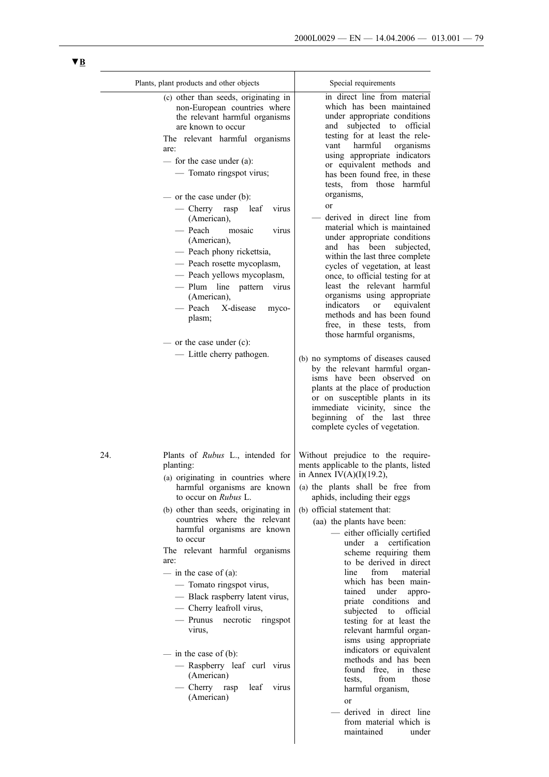maintained under

|     | Plants, plant products and other objects                                                                                                                                                                                                                                                                                                                                                                                                                                                                                                                                                                     | Special requirements                                                                                                                                                                                                                                                                                                                                                                                                                                                                                                                                                                                                                                                                                                                                                                                                                                                                                                                                                                                                                                                  |
|-----|--------------------------------------------------------------------------------------------------------------------------------------------------------------------------------------------------------------------------------------------------------------------------------------------------------------------------------------------------------------------------------------------------------------------------------------------------------------------------------------------------------------------------------------------------------------------------------------------------------------|-----------------------------------------------------------------------------------------------------------------------------------------------------------------------------------------------------------------------------------------------------------------------------------------------------------------------------------------------------------------------------------------------------------------------------------------------------------------------------------------------------------------------------------------------------------------------------------------------------------------------------------------------------------------------------------------------------------------------------------------------------------------------------------------------------------------------------------------------------------------------------------------------------------------------------------------------------------------------------------------------------------------------------------------------------------------------|
|     | (c) other than seeds, originating in<br>non-European countries where<br>the relevant harmful organisms<br>are known to occur<br>The relevant harmful organisms<br>are:<br>- for the case under (a):<br>- Tomato ringspot virus;<br>— or the case under $(b)$ :<br>— Cherry rasp leaf<br>virus<br>(American),<br>— Peach<br>mosaic<br>virus<br>(American),<br>- Peach phony rickettsia,<br>- Peach rosette mycoplasm,<br>- Peach yellows mycoplasm,<br>- Plum line pattern virus<br>(American),<br>— Peach<br>X-disease<br>myco-<br>plasm;<br>— or the case under $(c)$ :<br>- Little cherry pathogen.        | in direct line from material<br>which has been maintained<br>under appropriate conditions<br>and subjected to official<br>testing for at least the rele-<br>harmful<br>vant<br>organisms<br>using appropriate indicators<br>or equivalent methods and<br>has been found free, in these<br>tests, from those harmful<br>organisms,<br>or<br>derived in direct line from<br>material which is maintained<br>under appropriate conditions<br>and has been<br>subjected,<br>within the last three complete<br>cycles of vegetation, at least<br>once, to official testing for at<br>least the relevant harmful<br>organisms using appropriate<br><i>indicators</i><br>equivalent<br><sub>or</sub><br>methods and has been found<br>free, in these tests, from<br>those harmful organisms,<br>(b) no symptoms of diseases caused<br>by the relevant harmful organ-<br>isms have been observed on<br>plants at the place of production<br>or on susceptible plants in its<br>immediate vicinity, since the<br>beginning of the last three<br>complete cycles of vegetation. |
| 24. | Plants of <i>Rubus</i> L., intended for<br>planting:<br>(a) originating in countries where<br>harmful organisms are known<br>to occur on Rubus L.<br>(b) other than seeds, originating in<br>countries where the relevant<br>harmful organisms are known<br>to occur<br>The relevant harmful organisms<br>are:<br>$-$ in the case of (a):<br>- Tomato ringspot virus,<br>- Black raspberry latent virus,<br>- Cherry leafroll virus,<br>— Prunus<br>necrotic<br>ringspot<br>virus,<br>$-$ in the case of (b):<br>- Raspberry leaf curl virus<br>(American)<br>$-$ Cherry rasp<br>leaf<br>virus<br>(American) | Without prejudice to the require-<br>ments applicable to the plants, listed<br>in Annex IV(A)(I)(19.2),<br>(a) the plants shall be free from<br>aphids, including their eggs<br>(b) official statement that:<br>(aa) the plants have been:<br>- either officially certified<br>under<br>certification<br>a<br>scheme requiring them<br>to be derived in direct<br>line<br>from<br>material<br>which has been main-<br>tained under<br>appro-<br>priate conditions<br>and<br>subjected<br>official<br>to<br>testing for at least the<br>relevant harmful organ-<br>isms using appropriate<br>indicators or equivalent<br>methods and has been<br>found free, in<br>these<br>from<br>those<br>tests,<br>harmful organism,<br><sub>or</sub><br>derived in direct line<br>from material which is                                                                                                                                                                                                                                                                          |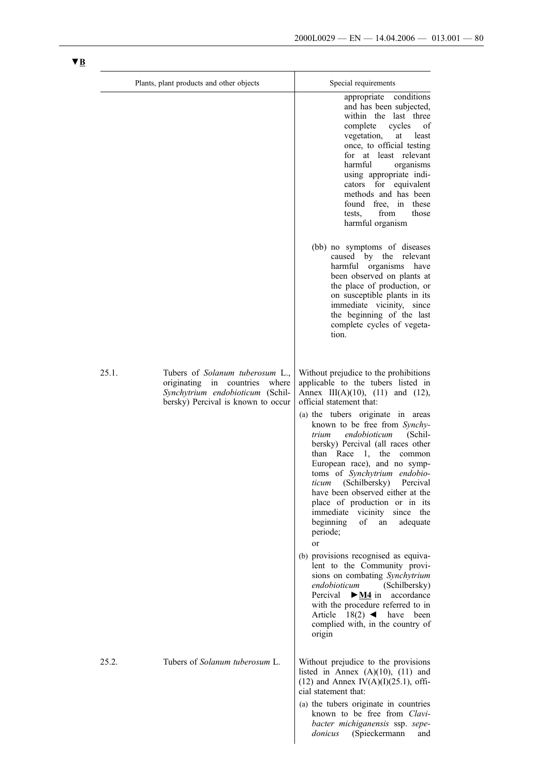|       | Plants, plant products and other objects                                                                                                    | Special requirements                                                                                                                                                                                                                                                                                                                                                                                                                                                                                                                                                                                                                                                                                                                                                                                                                                                  |
|-------|---------------------------------------------------------------------------------------------------------------------------------------------|-----------------------------------------------------------------------------------------------------------------------------------------------------------------------------------------------------------------------------------------------------------------------------------------------------------------------------------------------------------------------------------------------------------------------------------------------------------------------------------------------------------------------------------------------------------------------------------------------------------------------------------------------------------------------------------------------------------------------------------------------------------------------------------------------------------------------------------------------------------------------|
|       |                                                                                                                                             | conditions<br>appropriate<br>and has been subjected,<br>within the last three<br>complete<br>cycles<br>of<br>vegetation,<br>at<br>least<br>once, to official testing<br>for at least relevant<br>harmful<br>organisms<br>using appropriate indi-<br>cators for equivalent<br>methods and has been<br>found free, in<br>these<br>from<br>those<br>tests,<br>harmful organism                                                                                                                                                                                                                                                                                                                                                                                                                                                                                           |
|       |                                                                                                                                             | (bb) no symptoms of diseases<br>caused by the relevant<br>harmful organisms have<br>been observed on plants at<br>the place of production, or<br>on susceptible plants in its<br>immediate vicinity, since<br>the beginning of the last<br>complete cycles of vegeta-<br>tion.                                                                                                                                                                                                                                                                                                                                                                                                                                                                                                                                                                                        |
| 25.1. | Tubers of Solanum tuberosum L.,<br>originating in countries where<br>Synchytrium endobioticum (Schil-<br>bersky) Percival is known to occur | Without prejudice to the prohibitions<br>applicable to the tubers listed in<br>Annex III(A)(10), (11) and (12),<br>official statement that:<br>(a) the tubers originate in areas<br>known to be free from Synchy-<br>endobioticum<br>trium<br>(Schil-<br>bersky) Percival (all races other<br>than Race 1, the common<br>European race), and no symp-<br>toms of Synchytrium endobio-<br>ticum (Schilbersky) Percival<br>have been observed either at the<br>place of production or in its<br>vicinity<br>immediate<br>since the<br>beginning<br>of<br>adequate<br>an<br>periode;<br>or<br>(b) provisions recognised as equiva-<br>lent to the Community provi-<br>sions on combating Synchytrium<br>endobioticum<br>(Schilbersky)<br>Percival<br>$\triangleright$ <u>M4</u> in accordance<br>with the procedure referred to in<br>Article $18(2)$ <b>d</b> have been |
| 25.2. | Tubers of <i>Solanum tuberosum</i> L.                                                                                                       | complied with, in the country of<br>origin<br>Without prejudice to the provisions<br>listed in Annex $(A)(10)$ , $(11)$ and<br>$(12)$ and Annex IV(A)(I)(25.1), offi-<br>cial statement that:<br>(a) the tubers originate in countries<br>known to be free from Clavi-<br>bacter michiganensis ssp. sepe-<br>donicus (Spieckermann<br>and                                                                                                                                                                                                                                                                                                                                                                                                                                                                                                                             |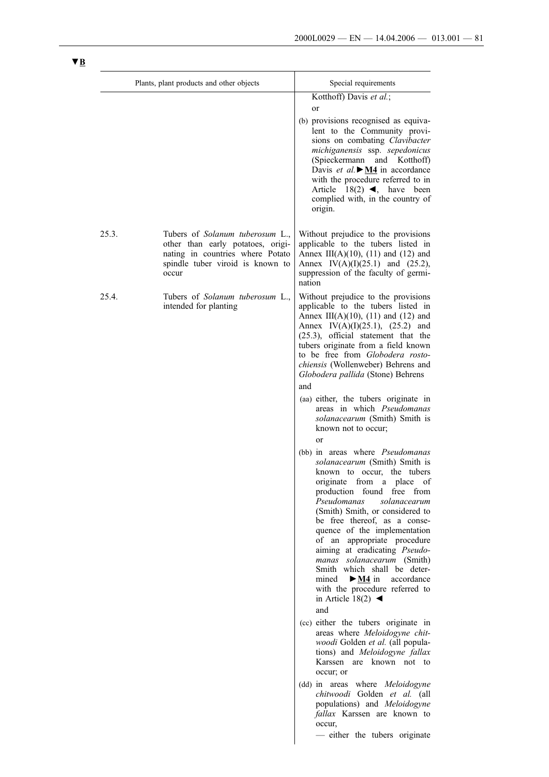|       | Plants, plant products and other objects                                                                                                                     | Special requirements                                                                                                                                                                                                                                                                                                                                                                                                                                                                                                                                                                                                                                                                                                                                                                                                                                                                                                                                                                                                                                                                                                                                                                                                                                                                                                                                                                                                                                           |
|-------|--------------------------------------------------------------------------------------------------------------------------------------------------------------|----------------------------------------------------------------------------------------------------------------------------------------------------------------------------------------------------------------------------------------------------------------------------------------------------------------------------------------------------------------------------------------------------------------------------------------------------------------------------------------------------------------------------------------------------------------------------------------------------------------------------------------------------------------------------------------------------------------------------------------------------------------------------------------------------------------------------------------------------------------------------------------------------------------------------------------------------------------------------------------------------------------------------------------------------------------------------------------------------------------------------------------------------------------------------------------------------------------------------------------------------------------------------------------------------------------------------------------------------------------------------------------------------------------------------------------------------------------|
|       |                                                                                                                                                              | Kotthoff) Davis et al.;<br>or<br>(b) provisions recognised as equiva-<br>lent to the Community provi-<br>sions on combating Clavibacter<br>michiganensis ssp. sepedonicus<br>(Spieckermann and Kotthoff)<br>Davis et al. $\triangleright$ <u>M4</u> in accordance<br>with the procedure referred to in<br>Article $18(2)$ <b>4</b> , have been<br>complied with, in the country of<br>origin.                                                                                                                                                                                                                                                                                                                                                                                                                                                                                                                                                                                                                                                                                                                                                                                                                                                                                                                                                                                                                                                                  |
| 25.3. | Tubers of <i>Solanum tuberosum</i> L.,<br>other than early potatoes, origi-<br>nating in countries where Potato<br>spindle tuber viroid is known to<br>occur | Without prejudice to the provisions<br>applicable to the tubers listed in<br>Annex III(A)(10), (11) and (12) and<br>Annex IV(A)(I)(25.1) and (25.2),<br>suppression of the faculty of germi-<br>nation                                                                                                                                                                                                                                                                                                                                                                                                                                                                                                                                                                                                                                                                                                                                                                                                                                                                                                                                                                                                                                                                                                                                                                                                                                                         |
| 25.4. | Tubers of Solanum tuberosum L.,<br>intended for planting                                                                                                     | Without prejudice to the provisions<br>applicable to the tubers listed in<br>Annex III(A)(10), (11) and (12) and<br>Annex IV(A)(I)(25.1), (25.2) and<br>(25.3), official statement that the<br>tubers originate from a field known<br>to be free from Globodera rosto-<br>chiensis (Wollenweber) Behrens and<br>Globodera pallida (Stone) Behrens<br>and<br>(aa) either, the tubers originate in<br>areas in which Pseudomanas<br>solanacearum (Smith) Smith is<br>known not to occur;<br><sub>or</sub><br>(bb) in areas where <i>Pseudomanas</i><br>solanacearum (Smith) Smith is<br>known to occur, the tubers<br>originate<br>from a<br>place<br>of<br>production found free from<br>Pseudomanas<br>solanacearum<br>(Smith) Smith, or considered to<br>be free thereof, as a conse-<br>quence of the implementation<br>of an appropriate procedure<br>aiming at eradicating Pseudo-<br>manas solanacearum (Smith)<br>Smith which shall be deter-<br>$\blacktriangleright$ M4 in<br>mined<br>accordance<br>with the procedure referred to<br>in Article 18(2) $\blacktriangleleft$<br>and<br>(cc) either the tubers originate in<br>areas where Meloidogyne chit-<br>woodi Golden et al. (all popula-<br>tions) and Meloidogyne fallax<br>Karssen are known not to<br>occur; or<br>(dd) in areas where Meloidogyne<br>chitwoodi Golden et al. (all<br>populations) and Meloidogyne<br>fallax Karssen are known to<br>occur,<br>- either the tubers originate |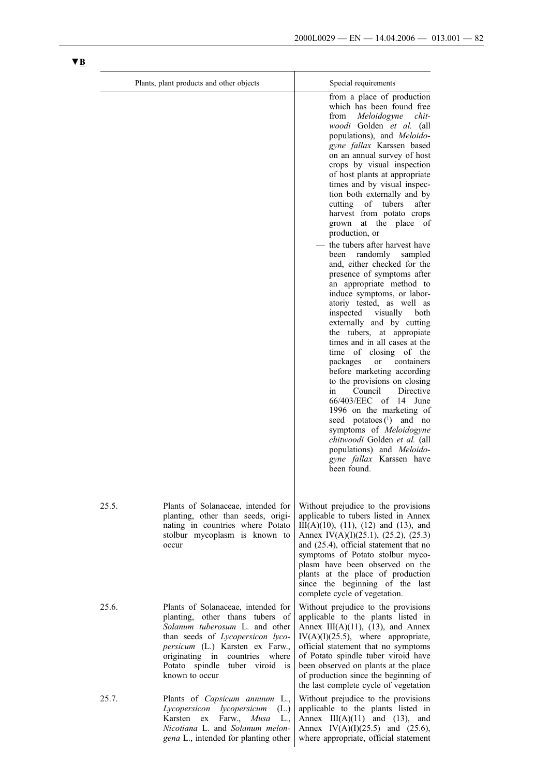|       | Plants, plant products and other objects                                                                                                                                                                                                                                      | Special requirements                                                                                                                                                                                                                                                                                                                                                                                                                                                                                                                                                                                                                                                                                                                                                                                                                                                                                                                                                                                                                                                                                                                                                                               |
|-------|-------------------------------------------------------------------------------------------------------------------------------------------------------------------------------------------------------------------------------------------------------------------------------|----------------------------------------------------------------------------------------------------------------------------------------------------------------------------------------------------------------------------------------------------------------------------------------------------------------------------------------------------------------------------------------------------------------------------------------------------------------------------------------------------------------------------------------------------------------------------------------------------------------------------------------------------------------------------------------------------------------------------------------------------------------------------------------------------------------------------------------------------------------------------------------------------------------------------------------------------------------------------------------------------------------------------------------------------------------------------------------------------------------------------------------------------------------------------------------------------|
|       |                                                                                                                                                                                                                                                                               | from a place of production<br>which has been found free<br>Meloidogyne<br>chit<br>from<br>woodi Golden et al. (all<br>populations), and Meloido-<br>gyne fallax Karssen based<br>on an annual survey of host<br>crops by visual inspection<br>of host plants at appropriate<br>times and by visual inspec-<br>tion both externally and by<br>cutting<br>of tubers<br>after<br>harvest from potato crops<br>at the place<br>grown<br>of<br>production, or<br>the tubers after harvest have<br>randomly<br>sampled<br>been<br>and, either checked for the<br>presence of symptoms after<br>an appropriate method to<br>induce symptoms, or labor-<br>atoriy tested, as well as<br>inspected<br>visually<br>both<br>externally and by cutting<br>the tubers, at appropiate<br>times and in all cases at the<br>time of closing of the<br>packages<br>containers<br><sub>or</sub><br>before marketing according<br>to the provisions on closing<br>Directive<br>Council<br>in<br>66/403/EEC of 14 June<br>1996 on the marketing of<br>seed potatoes $(^{1})$ and no<br>symptoms of Meloidogyne<br>chitwoodi Golden et al. (all<br>populations) and Meloido-<br>gyne fallax Karssen have<br>been found. |
| 25.5. | Plants of Solanaceae, intended for<br>planting, other than seeds, origi-<br>nating in countries where Potato<br>stolbur mycoplasm is known to<br>occur                                                                                                                        | Without prejudice to the provisions<br>applicable to tubers listed in Annex<br>$III(A)(10)$ , $(11)$ , $(12)$ and $(13)$ , and<br>Annex IV(A)(I)(25.1), (25.2), (25.3)<br>and (25.4), official statement that no<br>symptoms of Potato stolbur myco-<br>plasm have been observed on the<br>plants at the place of production<br>since the beginning of the last<br>complete cycle of vegetation.                                                                                                                                                                                                                                                                                                                                                                                                                                                                                                                                                                                                                                                                                                                                                                                                   |
| 25.6. | Plants of Solanaceae, intended for<br>planting, other thans tubers of<br>Solanum tuberosum L. and other<br>than seeds of Lycopersicon lyco-<br>persicum (L.) Karsten ex Farw.,<br>originating in<br>countries<br>where<br>Potato spindle<br>tuber viroid is<br>known to occur | Without prejudice to the provisions<br>applicable to the plants listed in<br>Annex III(A)(11), (13), and Annex<br>$IV(A)(I)(25.5)$ , where appropriate,<br>official statement that no symptoms<br>of Potato spindle tuber viroid have<br>been observed on plants at the place<br>of production since the beginning of<br>the last complete cycle of vegetation                                                                                                                                                                                                                                                                                                                                                                                                                                                                                                                                                                                                                                                                                                                                                                                                                                     |
| 25.7. | Plants of <i>Capsicum annuum</i> L.,<br>Lycopersicon<br>lycopersicum<br>(L.)<br>Karsten<br>Farw.,<br>Musa<br>L.,<br>ex<br>Nicotiana L. and Solanum melon-<br>gena L., intended for planting other                                                                             | Without prejudice to the provisions<br>applicable to the plants listed in<br>Annex $III(A)(11)$ and $(13)$ , and<br>Annex IV(A)(I)(25.5) and (25.6),<br>where appropriate, official statement                                                                                                                                                                                                                                                                                                                                                                                                                                                                                                                                                                                                                                                                                                                                                                                                                                                                                                                                                                                                      |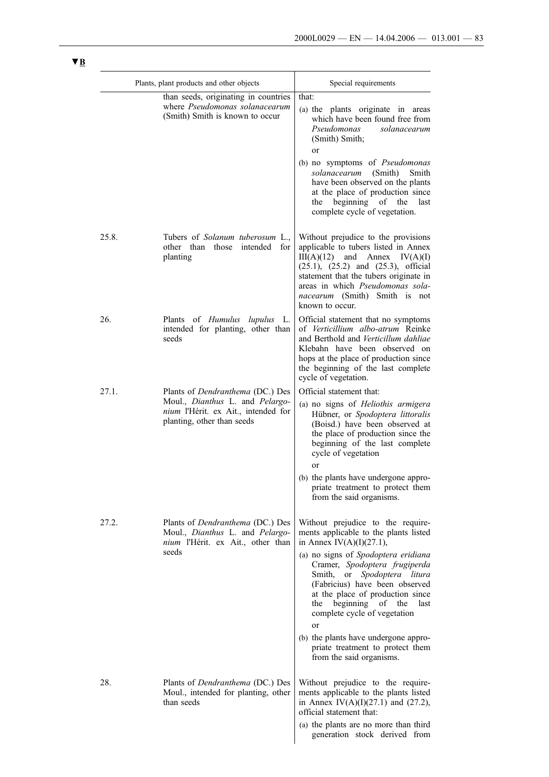|       | Plants, plant products and other objects                                                                                                 | Special requirements                                                                                                                                                                                                                                                                                                                                                                                                                                              |  |
|-------|------------------------------------------------------------------------------------------------------------------------------------------|-------------------------------------------------------------------------------------------------------------------------------------------------------------------------------------------------------------------------------------------------------------------------------------------------------------------------------------------------------------------------------------------------------------------------------------------------------------------|--|
|       | than seeds, originating in countries<br>where <i>Pseudomonas</i> solanacearum<br>(Smith) Smith is known to occur                         | that:<br>(a) the plants originate in areas<br>which have been found free from<br>Pseudomonas<br>solanacearum<br>(Smith) Smith;<br>or<br>(b) no symptoms of Pseudomonas<br>solanacearum<br>(Smith)<br>Smith<br>have been observed on the plants<br>at the place of production since<br>beginning of the<br>the<br>last<br>complete cycle of vegetation.                                                                                                            |  |
| 25.8. | Tubers of <i>Solanum tuberosum</i> L.,<br>other than those<br>intended<br>for<br>planting                                                | Without prejudice to the provisions<br>applicable to tubers listed in Annex<br>$III(A)(12)$ and Annex $IV(A)(I)$<br>$(25.1)$ , $(25.2)$ and $(25.3)$ , official<br>statement that the tubers originate in<br>areas in which Pseudomonas sola-<br><i>nacearum</i> (Smith) Smith is not<br>known to occur.                                                                                                                                                          |  |
| 26.   | Plants of <i>Humulus lupulus</i> L.<br>intended for planting, other than<br>seeds                                                        | Official statement that no symptoms<br>of Verticillium albo-atrum Reinke<br>and Berthold and Verticillum dahliae<br>Klebahn have been observed on<br>hops at the place of production since<br>the beginning of the last complete<br>cycle of vegetation.                                                                                                                                                                                                          |  |
| 27.1. | Plants of Dendranthema (DC.) Des<br>Moul., Dianthus L. and Pelargo-<br>nium l'Hérit. ex Ait., intended for<br>planting, other than seeds | Official statement that:<br>(a) no signs of Heliothis armigera<br>Hübner, or Spodoptera littoralis<br>(Boisd.) have been observed at<br>the place of production since the<br>beginning of the last complete<br>cycle of vegetation<br>or<br>(b) the plants have undergone appro-<br>priate treatment to protect them<br>from the said organisms.                                                                                                                  |  |
| 27.2. | Plants of <i>Dendranthema</i> (DC.) Des<br>Moul., Dianthus L. and Pelargo-<br>nium l'Hérit. ex Ait., other than<br>seeds                 | Without prejudice to the require-<br>ments applicable to the plants listed<br>in Annex IV(A)(I)(27.1),<br>(a) no signs of Spodoptera eridiana<br>Cramer, Spodoptera frugiperda<br>Smith, or Spodoptera litura<br>(Fabricius) have been observed<br>at the place of production since<br>the beginning of the<br>last<br>complete cycle of vegetation<br>or<br>(b) the plants have undergone appro-<br>priate treatment to protect them<br>from the said organisms. |  |
| 28.   | Plants of <i>Dendranthema</i> (DC.) Des<br>Moul., intended for planting, other<br>than seeds                                             | Without prejudice to the require-<br>ments applicable to the plants listed<br>in Annex IV(A)(I)(27.1) and (27.2),<br>official statement that:<br>(a) the plants are no more than third<br>generation stock derived from                                                                                                                                                                                                                                           |  |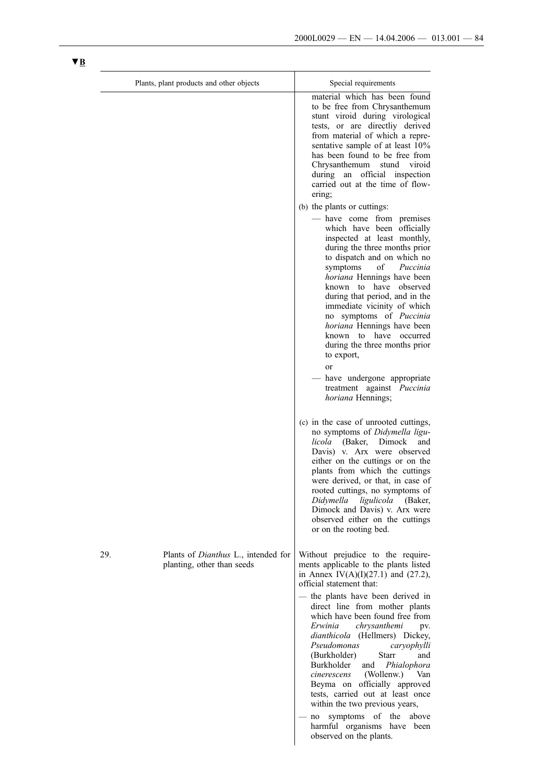|     | Plants, plant products and other objects                                 | Special requirements                                                                                                                                                                                                                                                                                                                                                                                                                                                                                                                                                                                                                                                |
|-----|--------------------------------------------------------------------------|---------------------------------------------------------------------------------------------------------------------------------------------------------------------------------------------------------------------------------------------------------------------------------------------------------------------------------------------------------------------------------------------------------------------------------------------------------------------------------------------------------------------------------------------------------------------------------------------------------------------------------------------------------------------|
|     |                                                                          | material which has been found<br>to be free from Chrysanthemum<br>stunt viroid during virological<br>tests, or are directliy derived<br>from material of which a repre-<br>sentative sample of at least 10%<br>has been found to be free from<br>Chrysanthemum stund viroid<br>during an official inspection<br>carried out at the time of flow-<br>ering;                                                                                                                                                                                                                                                                                                          |
|     |                                                                          | (b) the plants or cuttings:<br>- have come from premises<br>which have been officially<br>inspected at least monthly,<br>during the three months prior<br>to dispatch and on which no<br>symptoms<br>of<br>Puccinia<br>horiana Hennings have been<br>known to have observed<br>during that period, and in the<br>immediate vicinity of which<br>no symptoms of Puccinia<br>horiana Hennings have been<br>known to have occurred<br>during the three months prior<br>to export,<br><sub>or</sub><br>- have undergone appropriate<br>treatment against <i>Puccinia</i><br><i>horiana</i> Hennings;                                                                    |
|     |                                                                          | (c) in the case of unrooted cuttings,<br>no symptoms of Didymella ligu-<br>licola<br>(Baker, Dimock)<br>and<br>Davis) v. Arx were observed<br>either on the cuttings or on the<br>plants from which the cuttings<br>were derived, or that, in case of<br>rooted cuttings, no symptoms of<br>ligulicola<br>Didymella<br>(Baker,<br>Dimock and Davis) v. Arx were<br>observed either on the cuttings<br>or on the rooting bed.                                                                                                                                                                                                                                        |
| 29. | Plants of <i>Dianthus</i> L., intended for<br>planting, other than seeds | Without prejudice to the require-<br>ments applicable to the plants listed<br>in Annex IV(A)(I)(27.1) and (27.2),<br>official statement that:<br>- the plants have been derived in<br>direct line from mother plants<br>which have been found free from<br>Erwinia<br>chrysanthemi<br>pv.<br>dianthicola (Hellmers) Dickey,<br>Pseudomonas<br>caryophylli<br>Starr<br>(Burkholder)<br>and<br>Burkholder<br>and<br>Phialophora<br>(Wollenw.)<br>cinerescens<br>Van<br>Beyma on officially approved<br>tests, carried out at least once<br>within the two previous years,<br>symptoms of the<br>above<br>no<br>harmful organisms have been<br>observed on the plants. |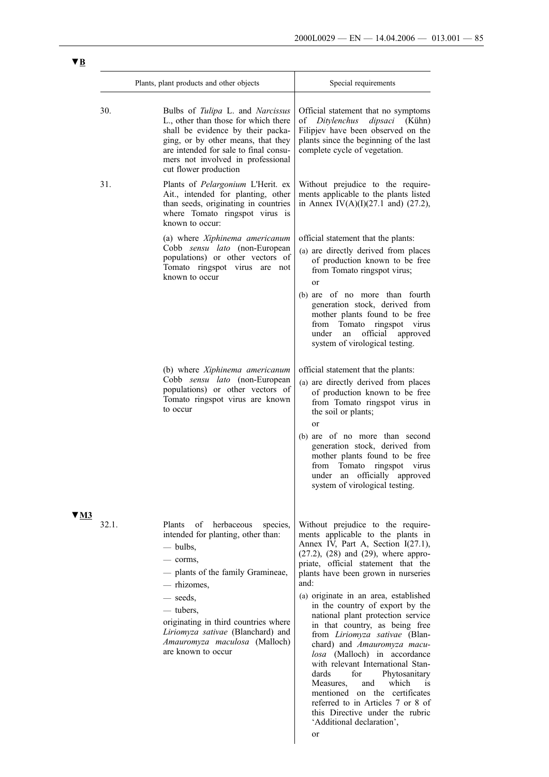|                                  | Plants, plant products and other objects                                                                                                                                                                                                                                                                                       | Special requirements                                                                                                                                                                                                                                                                                                                                                                                                                                                                                                                                                                                                                                                                                                                                      |
|----------------------------------|--------------------------------------------------------------------------------------------------------------------------------------------------------------------------------------------------------------------------------------------------------------------------------------------------------------------------------|-----------------------------------------------------------------------------------------------------------------------------------------------------------------------------------------------------------------------------------------------------------------------------------------------------------------------------------------------------------------------------------------------------------------------------------------------------------------------------------------------------------------------------------------------------------------------------------------------------------------------------------------------------------------------------------------------------------------------------------------------------------|
| 30.                              | Bulbs of Tulipa L. and Narcissus<br>L., other than those for which there<br>shall be evidence by their packa-<br>ging, or by other means, that they<br>are intended for sale to final consu-<br>mers not involved in professional<br>cut flower production                                                                     | Official statement that no symptoms<br>of Ditylenchus<br>dipsaci<br>(Kühn)<br>Filipjev have been observed on the<br>plants since the beginning of the last<br>complete cycle of vegetation.                                                                                                                                                                                                                                                                                                                                                                                                                                                                                                                                                               |
| 31.                              | Plants of Pelargonium L'Herit. ex<br>Ait., intended for planting, other<br>than seeds, originating in countries<br>where Tomato ringspot virus is<br>known to occur:                                                                                                                                                           | Without prejudice to the require-<br>ments applicable to the plants listed<br>in Annex IV(A)(I)(27.1 and) (27.2),                                                                                                                                                                                                                                                                                                                                                                                                                                                                                                                                                                                                                                         |
|                                  | (a) where Xiphinema americanum<br>Cobb sensu lato (non-European<br>populations) or other vectors of<br>Tomato ringspot virus are not<br>known to occur                                                                                                                                                                         | official statement that the plants:<br>(a) are directly derived from places<br>of production known to be free<br>from Tomato ringspot virus;<br><sub>or</sub>                                                                                                                                                                                                                                                                                                                                                                                                                                                                                                                                                                                             |
|                                  |                                                                                                                                                                                                                                                                                                                                | (b) are of no more than fourth<br>generation stock, derived from<br>mother plants found to be free<br>from Tomato<br>ringspot virus<br>under<br>official<br>approved<br>an<br>system of virological testing.                                                                                                                                                                                                                                                                                                                                                                                                                                                                                                                                              |
|                                  | (b) where Xiphinema americanum<br>Cobb sensu lato (non-European<br>populations) or other vectors of<br>Tomato ringspot virus are known<br>to occur                                                                                                                                                                             | official statement that the plants:<br>(a) are directly derived from places<br>of production known to be free<br>from Tomato ringspot virus in<br>the soil or plants;<br>or<br>(b) are of no more than second<br>generation stock, derived from<br>mother plants found to be free<br>from Tomato ringspot virus<br>under an officially approved<br>system of virological testing.                                                                                                                                                                                                                                                                                                                                                                         |
| $\blacktriangledown$ M3<br>32.1. | herbaceous<br>species,<br><b>Plants</b><br>of<br>intended for planting, other than:<br>$-$ bulbs,<br>- corms,<br>- plants of the family Gramineae,<br>— rhizomes,<br>— seeds.<br>— tubers,<br>originating in third countries where<br>Liriomyza sativae (Blanchard) and<br>Amauromyza maculosa (Malloch)<br>are known to occur | Without prejudice to the require-<br>ments applicable to the plants in<br>Annex IV, Part A, Section I(27.1),<br>$(27.2)$ , $(28)$ and $(29)$ , where appro-<br>priate, official statement that the<br>plants have been grown in nurseries<br>and:<br>(a) originate in an area, established<br>in the country of export by the<br>national plant protection service<br>in that country, as being free<br>from Liriomyza sativae (Blan-<br>chard) and Amauromyza macu-<br>losa (Malloch) in accordance<br>with relevant International Stan-<br>dards<br>for<br>Phytosanitary<br>and<br>which<br>Measures,<br>1S<br>mentioned on the certificates<br>referred to in Articles 7 or 8 of<br>this Directive under the rubric<br>'Additional declaration',<br>or |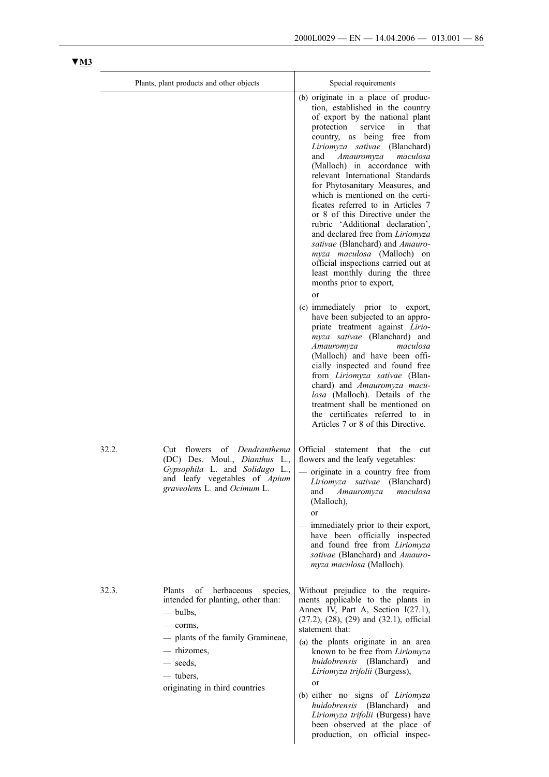|       | Plants, plant products and other objects                                                                                                                                                                          | Special requirements                                                                                                                                                                                                                                                                                                                                                                                                                                                                                                                                                                                                                                                                                                                            |
|-------|-------------------------------------------------------------------------------------------------------------------------------------------------------------------------------------------------------------------|-------------------------------------------------------------------------------------------------------------------------------------------------------------------------------------------------------------------------------------------------------------------------------------------------------------------------------------------------------------------------------------------------------------------------------------------------------------------------------------------------------------------------------------------------------------------------------------------------------------------------------------------------------------------------------------------------------------------------------------------------|
|       |                                                                                                                                                                                                                   | (b) originate in a place of produc-<br>tion, established in the country<br>of export by the national plant<br>protection<br>service<br>in<br>that<br>country, as being free from<br>Liriomyza sativae (Blanchard)<br>Amauromyza<br>maculosa<br>and<br>(Malloch) in accordance with<br>relevant International Standards<br>for Phytosanitary Measures, and<br>which is mentioned on the certi-<br>ficates referred to in Articles 7<br>or 8 of this Directive under the<br>rubric 'Additional declaration',<br>and declared free from <i>Liriomyza</i><br><i>sativae</i> (Blanchard) and <i>Amauro-</i><br><i>myza maculosa</i> (Malloch) on<br>official inspections carried out at<br>least monthly during the three<br>months prior to export, |
|       |                                                                                                                                                                                                                   | or<br>(c) immediately prior to export,<br>have been subjected to an appro-<br>priate treatment against Lirio-<br>myza sativae (Blanchard) and<br>maculosa<br>Amauromyza<br>(Malloch) and have been offi-<br>cially inspected and found free<br>from Liriomyza sativae (Blan-<br>chard) and Amauromyza macu-<br>losa (Malloch). Details of the<br>treatment shall be mentioned on<br>the certificates referred to in<br>Articles 7 or 8 of this Directive.                                                                                                                                                                                                                                                                                       |
| 32.2. | Dendranthema<br>flowers<br>of<br>Cut<br>(DC) Des. Moul., <i>Dianthus</i> L.,<br>Gypsophila L. and Solidago L.,<br>and leafy vegetables of <i>Apium</i><br>graveolens L. and Ocimum L.                             | Official<br>statement<br>that<br>the<br>cut<br>flowers and the leafy vegetables:<br>originate in a country free from<br>Liriomyza sativae (Blanchard)<br>and Amauromyza<br>maculosa<br>(Malloch),<br>or<br>immediately prior to their export,<br>have been officially inspected<br>and found free from Liriomyza<br>sativae (Blanchard) and Amauro-<br>myza maculosa (Malloch).                                                                                                                                                                                                                                                                                                                                                                 |
| 32.3. | Plants<br>of herbaceous species,<br>intended for planting, other than:<br>$-$ bulbs,<br>$-$ corms,<br>- plants of the family Gramineae,<br>— rhizomes,<br>— seeds,<br>— tubers,<br>originating in third countries | Without prejudice to the require-<br>ments applicable to the plants in<br>Annex IV, Part A, Section I(27.1),<br>$(27.2)$ , $(28)$ , $(29)$ and $(32.1)$ , official<br>statement that:<br>(a) the plants originate in an area<br>known to be free from Liriomyza<br>huidobrensis (Blanchard)<br>and<br>Liriomyza trifolii (Burgess),<br>or<br>(b) either no signs of <i>Liriomyza</i><br>huidobrensis (Blanchard)<br>and<br>Liriomyza trifolii (Burgess) have<br>been observed at the place of<br>production, on official inspec-                                                                                                                                                                                                                |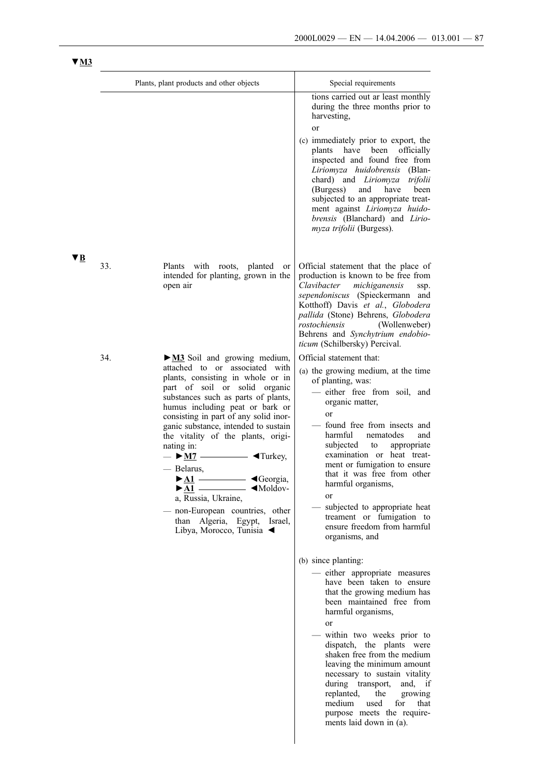purpose meets the requirements laid down in (a).

|    |     | Plants, plant products and other objects                                                                                                                                                                                                                                                                                                                                                                                                                                                                                                                                                                                                                                                      | Special requirements                                                                                                                                                                                                                                                                                                                                                                                                                                                                  |
|----|-----|-----------------------------------------------------------------------------------------------------------------------------------------------------------------------------------------------------------------------------------------------------------------------------------------------------------------------------------------------------------------------------------------------------------------------------------------------------------------------------------------------------------------------------------------------------------------------------------------------------------------------------------------------------------------------------------------------|---------------------------------------------------------------------------------------------------------------------------------------------------------------------------------------------------------------------------------------------------------------------------------------------------------------------------------------------------------------------------------------------------------------------------------------------------------------------------------------|
|    |     |                                                                                                                                                                                                                                                                                                                                                                                                                                                                                                                                                                                                                                                                                               | tions carried out ar least monthly<br>during the three months prior to<br>harvesting,<br>or<br>(c) immediately prior to export, the<br>plants have been<br>officially<br>inspected and found free from<br>Liriomyza huidobrensis (Blan-<br>chard) and <i>Liriomyza</i><br>trifolii<br>(Burgess)<br>and<br>have<br>been<br>subjected to an appropriate treat-<br>ment against Liriomyza huido-<br>brensis (Blanchard) and Lirio-<br>myza trifolii (Burgess).                           |
| ▼B | 33. | Plants with roots, planted<br><sub>or</sub><br>intended for planting, grown in the<br>open air                                                                                                                                                                                                                                                                                                                                                                                                                                                                                                                                                                                                | Official statement that the place of<br>production is known to be free from<br>Clavibacter<br>michiganensis<br>ssp.<br>sependoniscus (Spieckermann and<br>Kotthoff) Davis et al., Globodera<br>pallida (Stone) Behrens, Globodera<br>rostochiensis<br>(Wollenweber)<br>Behrens and Synchytrium endobio-<br>ticum (Schilbersky) Percival.                                                                                                                                              |
|    | 34. | $\triangleright$ <b>M3</b> Soil and growing medium,<br>attached to or associated with<br>plants, consisting in whole or in<br>part of soil or solid organic<br>substances such as parts of plants,<br>humus including peat or bark or<br>consisting in part of any solid inor-<br>ganic substance, intended to sustain<br>the vitality of the plants, origi-<br>nating in:<br>$\blacktriangleright$ M7<br>$\blacktriangleleft$ Turkey,<br>— Belarus,<br>◀Georgia,<br>$\blacktriangleright$ A1<br>$\blacktriangleright$ A1 $\longrightarrow$ $\blacktriangleleft$ Moldov-<br>a, Russia, Ukraine,<br>non-European countries, other<br>than Algeria, Egypt, Israel,<br>Libya, Morocco, Tunisia ◀ | Official statement that:<br>(a) the growing medium, at the time<br>of planting, was:<br>- either free from soil, and<br>organic matter,<br>or<br>found free from insects and<br>harmful<br>nematodes<br>and<br>subjected<br>to<br>appropriate<br>examination or heat treat-<br>ment or fumigation to ensure<br>that it was free from other<br>harmful organisms,<br>or<br>subjected to appropriate heat<br>treament or fumigation to<br>ensure freedom from harmful<br>organisms, and |
|    |     |                                                                                                                                                                                                                                                                                                                                                                                                                                                                                                                                                                                                                                                                                               | (b) since planting:<br>- either appropriate measures<br>have been taken to ensure<br>that the growing medium has<br>been maintained free from<br>harmful organisms,<br>or<br>within two weeks prior to<br>dispatch, the plants were<br>shaken free from the medium<br>leaving the minimum amount<br>necessary to sustain vitality<br>during transport,<br>and, if<br>replanted,<br>the<br>growing<br>medium<br>used<br>for<br>that                                                    |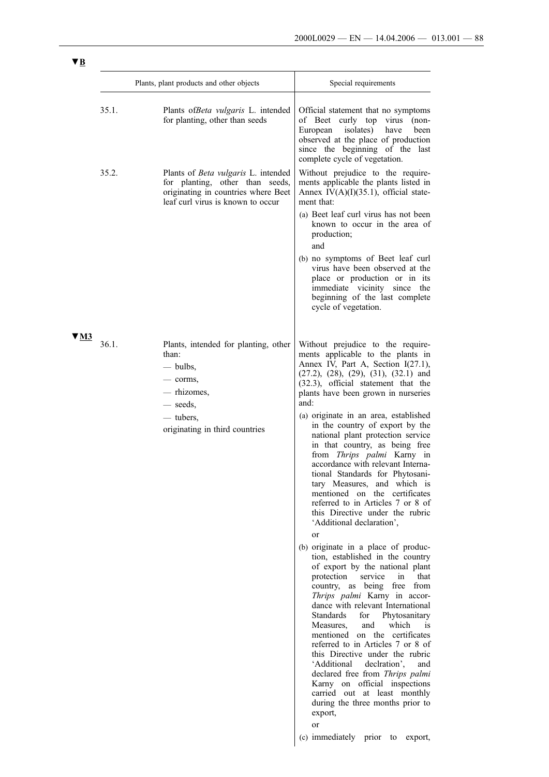|      |       | Plants, plant products and other objects                                                                                                           | Special requirements                                                                                                                                                                                                                                                                                                                                                                                                                                                                                                                                                                                                                                                                                                                                                                                                                                                                                                                                                                                                                                                                                                                                                                                                                                                                                                                                                                                       |
|------|-------|----------------------------------------------------------------------------------------------------------------------------------------------------|------------------------------------------------------------------------------------------------------------------------------------------------------------------------------------------------------------------------------------------------------------------------------------------------------------------------------------------------------------------------------------------------------------------------------------------------------------------------------------------------------------------------------------------------------------------------------------------------------------------------------------------------------------------------------------------------------------------------------------------------------------------------------------------------------------------------------------------------------------------------------------------------------------------------------------------------------------------------------------------------------------------------------------------------------------------------------------------------------------------------------------------------------------------------------------------------------------------------------------------------------------------------------------------------------------------------------------------------------------------------------------------------------------|
|      | 35.1. | Plants of Beta vulgaris L. intended<br>for planting, other than seeds                                                                              | Official statement that no symptoms<br>of Beet curly top virus<br>$(non-$<br>European<br>isolates)<br>have<br>been<br>observed at the place of production<br>since the beginning of the last<br>complete cycle of vegetation.                                                                                                                                                                                                                                                                                                                                                                                                                                                                                                                                                                                                                                                                                                                                                                                                                                                                                                                                                                                                                                                                                                                                                                              |
|      | 35.2. | Plants of Beta vulgaris L. intended<br>for planting, other than seeds,<br>originating in countries where Beet<br>leaf curl virus is known to occur | Without prejudice to the require-<br>ments applicable the plants listed in<br>Annex $IV(A)(I)(35.1)$ , official state-<br>ment that:<br>(a) Beet leaf curl virus has not been<br>known to occur in the area of<br>production;<br>and<br>(b) no symptoms of Beet leaf curl<br>virus have been observed at the<br>place or production or in its<br>immediate vicinity<br>since<br>the<br>beginning of the last complete<br>cycle of vegetation.                                                                                                                                                                                                                                                                                                                                                                                                                                                                                                                                                                                                                                                                                                                                                                                                                                                                                                                                                              |
| V M3 | 36.1. | Plants, intended for planting, other<br>than:<br>$-$ bulbs,<br>— corms,<br>— rhizomes,<br>seeds,<br>— tubers,<br>originating in third countries    | Without prejudice to the require-<br>ments applicable to the plants in<br>Annex IV, Part A, Section I(27.1),<br>$(27.2)$ , $(28)$ , $(29)$ , $(31)$ , $(32.1)$ and<br>(32.3), official statement that the<br>plants have been grown in nurseries<br>and:<br>(a) originate in an area, established<br>in the country of export by the<br>national plant protection service<br>in that country, as being free<br>from Thrips palmi Karny in<br>accordance with relevant Interna-<br>tional Standards for Phytosani-<br>tary Measures, and which is<br>mentioned on the certificates<br>referred to in Articles 7 or 8 of<br>this Directive under the rubric<br>'Additional declaration',<br><b>or</b><br>(b) originate in a place of produc-<br>tion, established in the country<br>of export by the national plant<br>protection<br>service<br>in<br>that<br>as being free<br>from<br>country,<br>Thrips palmi Karny in accor-<br>dance with relevant International<br><b>Standards</b><br>for<br>Phytosanitary<br>which<br>Measures,<br>and<br><i>is</i><br>mentioned on the certificates<br>referred to in Articles 7 or 8 of<br>this Directive under the rubric<br>'Additional<br>declration'.<br>and<br>declared free from Thrips palmi<br>Karny on official inspections<br>carried out at least monthly<br>during the three months prior to<br>export,<br>or<br>(c) immediately prior<br>to<br>export, |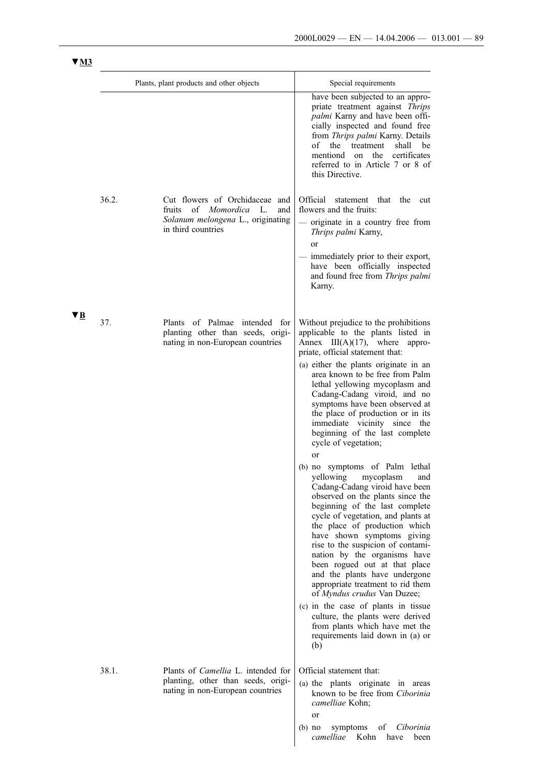| $\frac{1}{2}$ |                                                                                                                                  |                                                                                                                                                                                                                                                                                                                                                                                                                                                                                                                                                                                                                                                                                                                                                                                                                                                                                                                                                                                                                                                                                                                        |
|---------------|----------------------------------------------------------------------------------------------------------------------------------|------------------------------------------------------------------------------------------------------------------------------------------------------------------------------------------------------------------------------------------------------------------------------------------------------------------------------------------------------------------------------------------------------------------------------------------------------------------------------------------------------------------------------------------------------------------------------------------------------------------------------------------------------------------------------------------------------------------------------------------------------------------------------------------------------------------------------------------------------------------------------------------------------------------------------------------------------------------------------------------------------------------------------------------------------------------------------------------------------------------------|
|               | Plants, plant products and other objects                                                                                         | Special requirements<br>have been subjected to an appro-<br>priate treatment against Thrips<br>palmi Karny and have been offi-<br>cially inspected and found free<br>from Thrips palmi Karny. Details<br>of the<br>treatment<br>shall<br>be<br>mentiond on the<br>certificates<br>referred to in Article 7 or 8 of<br>this Directive.                                                                                                                                                                                                                                                                                                                                                                                                                                                                                                                                                                                                                                                                                                                                                                                  |
| 36.2.         | Cut flowers of Orchidaceae and<br>fruits of<br>Momordica<br>L.<br>and<br>Solanum melongena L., originating<br>in third countries | Official<br>that<br>the<br>statement<br>cut<br>flowers and the fruits:<br>originate in a country free from<br>Thrips palmi Karny,<br><sub>or</sub><br>immediately prior to their export,<br>have been officially inspected<br>and found free from Thrips palmi<br>Karny.                                                                                                                                                                                                                                                                                                                                                                                                                                                                                                                                                                                                                                                                                                                                                                                                                                               |
| VB.<br>37.    | Plants of Palmae intended for<br>planting other than seeds, origi-<br>nating in non-European countries                           | Without prejudice to the prohibitions<br>applicable to the plants listed in<br>Annex $III(A)(17)$ , where appro-<br>priate, official statement that:<br>(a) either the plants originate in an<br>area known to be free from Palm<br>lethal yellowing mycoplasm and<br>Cadang-Cadang viroid, and no<br>symptoms have been observed at<br>the place of production or in its<br>immediate vicinity since the<br>beginning of the last complete<br>cycle of vegetation;<br>or<br>(b) no symptoms of Palm lethal<br>yellowing mycoplasm and<br>Cadang-Cadang viroid have been<br>observed on the plants since the<br>beginning of the last complete<br>cycle of vegetation, and plants at<br>the place of production which<br>have shown symptoms giving<br>rise to the suspicion of contami-<br>nation by the organisms have<br>been rogued out at that place<br>and the plants have undergone<br>appropriate treatment to rid them<br>of Myndus crudus Van Duzee;<br>(c) in the case of plants in tissue<br>culture, the plants were derived<br>from plants which have met the<br>requirements laid down in (a) or<br>(b) |
| 38.1.         | Plants of <i>Camellia</i> L. intended for<br>planting, other than seeds, origi-<br>nating in non-European countries              | Official statement that:<br>(a) the plants originate in areas<br>known to be free from Ciborinia<br>camelliae Kohn;<br><b>or</b><br>οf<br>Ciborinia<br>symptoms<br>$(b)$ no<br>camelliae<br>Kohn<br>have<br>been                                                                                                                                                                                                                                                                                                                                                                                                                                                                                                                                                                                                                                                                                                                                                                                                                                                                                                       |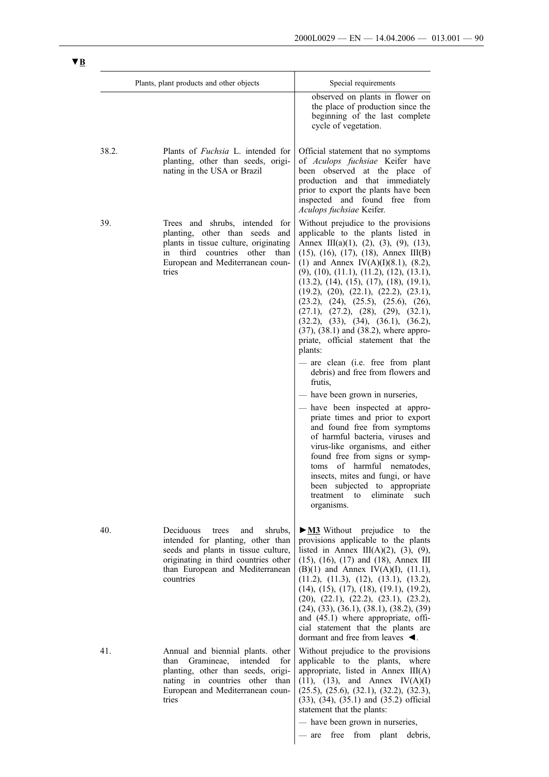|       | Plants, plant products and other objects                                                                                                                                                                 | Special requirements                                                                                                                                                                                                                                                                                                                                                                                                                                                                                                                                                                                                         |
|-------|----------------------------------------------------------------------------------------------------------------------------------------------------------------------------------------------------------|------------------------------------------------------------------------------------------------------------------------------------------------------------------------------------------------------------------------------------------------------------------------------------------------------------------------------------------------------------------------------------------------------------------------------------------------------------------------------------------------------------------------------------------------------------------------------------------------------------------------------|
|       |                                                                                                                                                                                                          | observed on plants in flower on<br>the place of production since the<br>beginning of the last complete<br>cycle of vegetation.                                                                                                                                                                                                                                                                                                                                                                                                                                                                                               |
| 38.2. | Plants of <i>Fuchsia</i> L. intended for<br>planting, other than seeds, origi-<br>nating in the USA or Brazil                                                                                            | Official statement that no symptoms<br>of Aculops fuchsiae Keifer have<br>been observed at the place of<br>production and that immediately<br>prior to export the plants have been<br>inspected and found free from<br>Aculops fuchsiae Keifer.                                                                                                                                                                                                                                                                                                                                                                              |
| 39.   | Trees and shrubs, intended for<br>planting, other than seeds and<br>plants in tissue culture, originating<br>third<br>countries<br>other<br>than<br>in<br>European and Mediterranean coun-<br>tries      | Without prejudice to the provisions<br>applicable to the plants listed in<br>Annex III(a)(1), (2), (3), (9), (13),<br>$(15)$ , $(16)$ , $(17)$ , $(18)$ , Annex III(B)<br>(1) and Annex IV(A)(I)(8.1), (8.2),<br>$(9)$ , $(10)$ , $(11.1)$ , $(11.2)$ , $(12)$ , $(13.1)$ ,<br>$(13.2), (14), (15), (17), (18), (19.1),$<br>(19.2), (20), (22.1), (22.2), (23.1),<br>(23.2), (24), (25.5), (25.6), (26),<br>(27.1), (27.2), (28), (29), (32.1),<br>(32.2), (33), (34), (36.1), (36.2),<br>$(37)$ , $(38.1)$ and $(38.2)$ , where appro-<br>priate, official statement that the<br>plants:<br>are clean (i.e. free from plant |
|       |                                                                                                                                                                                                          | debris) and free from flowers and<br>frutis,                                                                                                                                                                                                                                                                                                                                                                                                                                                                                                                                                                                 |
|       |                                                                                                                                                                                                          | have been grown in nurseries,<br>have been inspected at appro-<br>priate times and prior to export<br>and found free from symptoms<br>of harmful bacteria, viruses and<br>virus-like organisms, and either<br>found free from signs or symp-<br>of harmful nematodes,<br>toms<br>insects, mites and fungi, or have<br>been subjected to appropriate<br>such<br>treatment<br>eliminate<br>to<br>organisms.                                                                                                                                                                                                                    |
| 40.   | Deciduous<br>trees<br>and<br>shrubs,<br>intended for planting, other than<br>seeds and plants in tissue culture,<br>originating in third countries other<br>than European and Mediterranean<br>countries | $\triangleright$ <b>M3</b> Without prejudice<br>to<br>the<br>provisions applicable to the plants<br>listed in Annex III(A)(2), (3), (9),<br>$(15)$ , $(16)$ , $(17)$ and $(18)$ , Annex III<br>$(B)(1)$ and Annex IV(A)(I), (11.1),<br>(11.2), (11.3), (12), (13.1), (13.2),<br>$(14)$ , $(15)$ , $(17)$ , $(18)$ , $(19.1)$ , $(19.2)$ ,<br>(20), (22.1), (22.2), (23.1), (23.2),<br>$(24), (33), (36.1), (38.1), (38.2), (39)$<br>and (45.1) where appropriate, offi-<br>cial statement that the plants are<br>dormant and free from leaves $\blacktriangleleft$ .                                                         |
| 41.   | Annual and biennial plants. other<br>Gramineae,<br>intended<br>than<br>for<br>planting, other than seeds, origi-<br>nating in countries other than<br>European and Mediterranean coun-<br>tries          | Without prejudice to the provisions<br>applicable to the plants, where<br>appropriate, listed in Annex III(A)<br>$(11)$ , $(13)$ , and Annex IV $(A)(I)$<br>$(25.5), (25.6), (32.1), (32.2), (32.3),$<br>(33), (34), (35.1) and (35.2) official<br>statement that the plants:<br>- have been grown in nurseries,<br>free from plant<br>debris,<br>are                                                                                                                                                                                                                                                                        |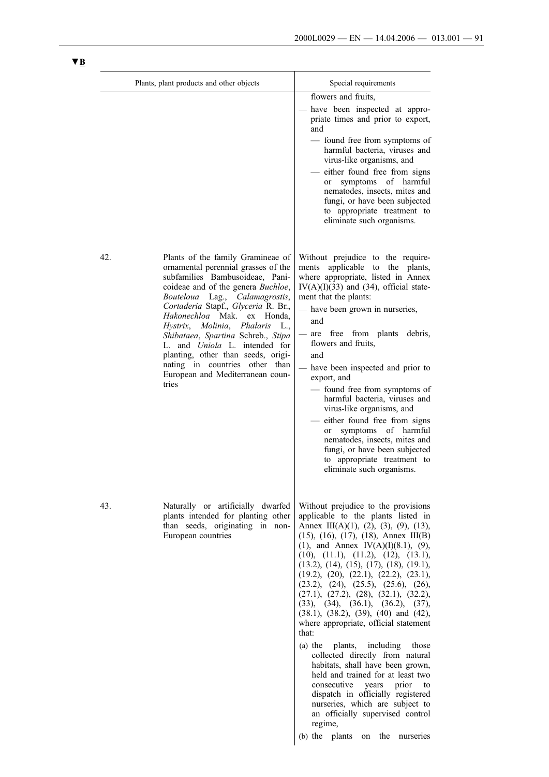| Plants, plant products and other objects |                                                                                                                                                                                                                                                                                                                                                                                                                                                                                                     | Special requirements                                                                                                                                                                                                                                                                                                                                                                                                                                                                                                                                                                                                                                                                                                                                                                                                                                                                                                   |
|------------------------------------------|-----------------------------------------------------------------------------------------------------------------------------------------------------------------------------------------------------------------------------------------------------------------------------------------------------------------------------------------------------------------------------------------------------------------------------------------------------------------------------------------------------|------------------------------------------------------------------------------------------------------------------------------------------------------------------------------------------------------------------------------------------------------------------------------------------------------------------------------------------------------------------------------------------------------------------------------------------------------------------------------------------------------------------------------------------------------------------------------------------------------------------------------------------------------------------------------------------------------------------------------------------------------------------------------------------------------------------------------------------------------------------------------------------------------------------------|
|                                          |                                                                                                                                                                                                                                                                                                                                                                                                                                                                                                     | flowers and fruits,<br>- have been inspected at appro-<br>priate times and prior to export,<br>and<br>- found free from symptoms of<br>harmful bacteria, viruses and<br>virus-like organisms, and<br>- either found free from signs<br>symptoms of harmful<br>or<br>nematodes, insects, mites and<br>fungi, or have been subjected<br>to appropriate treatment to<br>eliminate such organisms.                                                                                                                                                                                                                                                                                                                                                                                                                                                                                                                         |
| 42.                                      | Plants of the family Gramineae of<br>ornamental perennial grasses of the<br>subfamilies Bambusoideae, Pani-<br>coideae and of the genera Buchloe,<br>Bouteloua Lag., Calamagrostis,<br>Cortaderia Stapf., Glyceria R. Br.,<br>Hakonechloa Mak.<br>ex Honda.<br>Hystrix, Molinia, Phalaris<br>L.,<br>Shibataea, Spartina Schreb., Stipa<br>L. and <i>Uniola</i> L. intended for<br>planting, other than seeds, origi-<br>nating in countries other than<br>European and Mediterranean coun-<br>tries | Without prejudice to the require-<br>applicable to the plants,<br>ments<br>where appropriate, listed in Annex<br>$IV(A)(I)(33)$ and $(34)$ , official state-<br>ment that the plants:<br>- have been grown in nurseries,<br>and<br>are free from plants<br>debris,<br>flowers and fruits,<br>and<br>have been inspected and prior to<br>export, and<br>- found free from symptoms of<br>harmful bacteria, viruses and<br>virus-like organisms, and<br>- either found free from signs<br>symptoms of harmful<br><sub>or</sub><br>nematodes, insects, mites and<br>fungi, or have been subjected<br>to appropriate treatment to<br>eliminate such organisms.                                                                                                                                                                                                                                                             |
| 43.                                      | Naturally or artificially dwarfed<br>plants intended for planting other<br>than seeds, originating in non-<br>European countries                                                                                                                                                                                                                                                                                                                                                                    | Without prejudice to the provisions<br>applicable to the plants listed in<br>Annex III(A)(1), (2), (3), (9), (13),<br>$(15)$ , $(16)$ , $(17)$ , $(18)$ , Annex III(B)<br>(1), and Annex IV(A)(I)(8.1), (9),<br>(10), (11.1), (11.2), (12), (13.1),<br>$(13.2), (14), (15), (17), (18), (19.1),$<br>(19.2), (20), (22.1), (22.2), (23.1),<br>(23.2), (24), (25.5), (25.6), (26),<br>(27.1), (27.2), (28), (32.1), (32.2),<br>(33), (34), (36.1), (36.2), (37),<br>$(38.1)$ , $(38.2)$ , $(39)$ , $(40)$ and $(42)$ ,<br>where appropriate, official statement<br>that:<br>(a) the plants, including those<br>collected directly from natural<br>habitats, shall have been grown,<br>held and trained for at least two<br>consecutive<br>years prior<br>to<br>dispatch in officially registered<br>nurseries, which are subject to<br>an officially supervised control<br>regime,<br>(b) the plants<br>on the nurseries |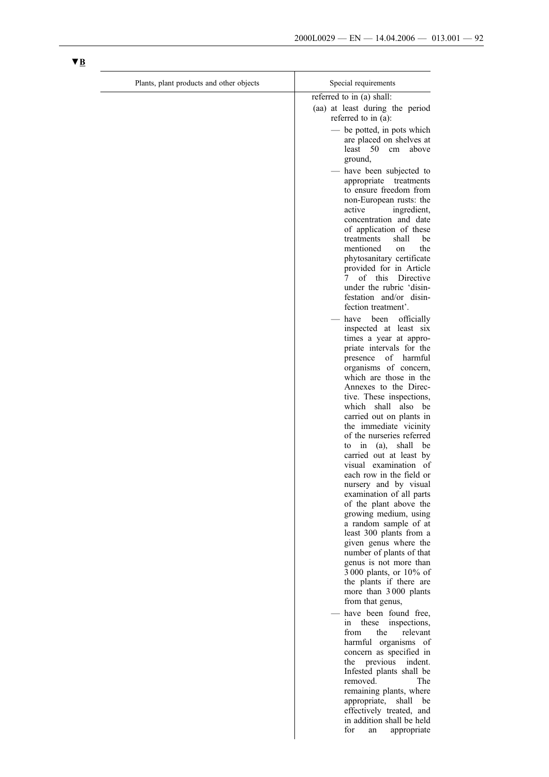| Plants, plant products and other objects | Special requirements                                                                                                                                                                         |
|------------------------------------------|----------------------------------------------------------------------------------------------------------------------------------------------------------------------------------------------|
|                                          | referred to in (a) shall:                                                                                                                                                                    |
|                                          | (aa) at least during the period<br>referred to in (a):                                                                                                                                       |
|                                          | - be potted, in pots which<br>are placed on shelves at<br>least<br>50<br>above<br>cm<br>ground,                                                                                              |
|                                          | - have been subjected to<br>appropriate treatments<br>to ensure freedom from<br>non-European rusts: the<br>active<br>ingredient,<br>concentration and date                                   |
|                                          | of application of these<br>treatments<br>shall<br>be<br>mentioned<br>the<br>on<br>phytosanitary certificate<br>provided for in Article<br>of this Directive<br>7<br>under the rubric 'disin- |
|                                          | festation and/or disin-<br>fection treatment'.                                                                                                                                               |
|                                          | have been<br>officially<br>inspected at least six<br>times a year at appro-<br>priate intervals for the<br>of harmful<br>presence<br>organisms of concern,                                   |
|                                          | which are those in the<br>Annexes to the Direc-<br>tive. These inspections,<br>which shall also be                                                                                           |
|                                          | carried out on plants in<br>the immediate vicinity<br>of the nurseries referred<br>in (a), shall<br>be<br>to<br>carried out at least by                                                      |
|                                          | visual examination of<br>each row in the field or<br>nursery and by visual<br>examination of all parts<br>of the plant above the                                                             |
|                                          | growing medium, using<br>a random sample of at<br>least 300 plants from a<br>given genus where the                                                                                           |
|                                          | number of plants of that<br>genus is not more than<br>3 000 plants, or 10% of<br>the plants if there are<br>more than 3000 plants<br>from that genus,                                        |
|                                          | - have been found free,<br>in these<br>inspections,<br>from<br>the<br>relevant<br>harmful organisms of                                                                                       |
|                                          | concern as specified in<br>the<br>previous<br>indent.<br>Infested plants shall be<br>removed.<br>The<br>remaining plants, where<br>appropriate, shall be                                     |
|                                          | effectively treated, and<br>in addition shall be held<br>for<br>appropriate<br>an                                                                                                            |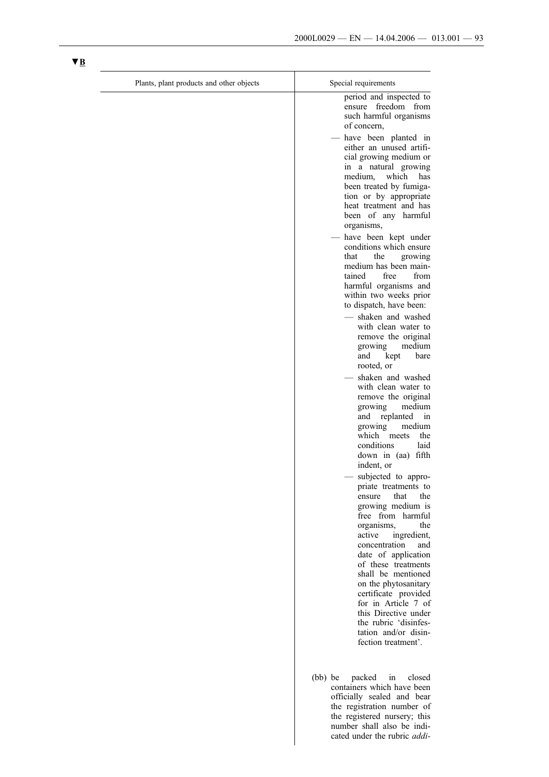the registered nursery; this number shall also be indicated under the rubric *addi-*

| Plants, plant products and other objects | Special requirements                                                                                                                                                                                                                                                                                                 |
|------------------------------------------|----------------------------------------------------------------------------------------------------------------------------------------------------------------------------------------------------------------------------------------------------------------------------------------------------------------------|
|                                          | period and inspected to<br>ensure freedom from<br>such harmful organisms<br>of concern,                                                                                                                                                                                                                              |
|                                          | - have been planted in<br>either an unused artifi-<br>cial growing medium or<br>in a natural growing<br>which<br>medium,<br>has<br>been treated by fumiga-<br>tion or by appropriate<br>heat treatment and has<br>been of any harmful                                                                                |
|                                          | organisms,<br>- have been kept under<br>conditions which ensure<br>the<br>that<br>growing<br>medium has been main-<br>tained<br>free<br>from<br>harmful organisms and<br>within two weeks prior<br>to dispatch, have been:<br>- shaken and washed<br>with clean water to<br>remove the original<br>medium<br>growing |
|                                          | kept<br>and<br>bare<br>rooted, or<br>- shaken and washed<br>with clean water to<br>remove the original<br>growing<br>medium<br>replanted<br>and<br>in<br>growing<br>medium                                                                                                                                           |
|                                          | which<br>meets<br>the<br>laid<br>conditions<br>down in (aa) fifth<br>indent, or<br>- subjected to appro-<br>priate treatments to<br>the<br>that<br>ensure<br>growing medium is                                                                                                                                       |
|                                          | free from harmful<br>organisms,<br>the<br>active<br>ingredient,<br>concentration<br>and<br>date of application<br>of these treatments<br>shall be mentioned<br>on the phytosanitary<br>certificate provided<br>for in Article 7 of                                                                                   |
|                                          | this Directive under<br>the rubric 'disinfes-<br>tation and/or disin-<br>fection treatment'.<br>(bb) be<br>packed in<br>closed                                                                                                                                                                                       |
|                                          | containers which have been<br>officially sealed and bear<br>the registration number of                                                                                                                                                                                                                               |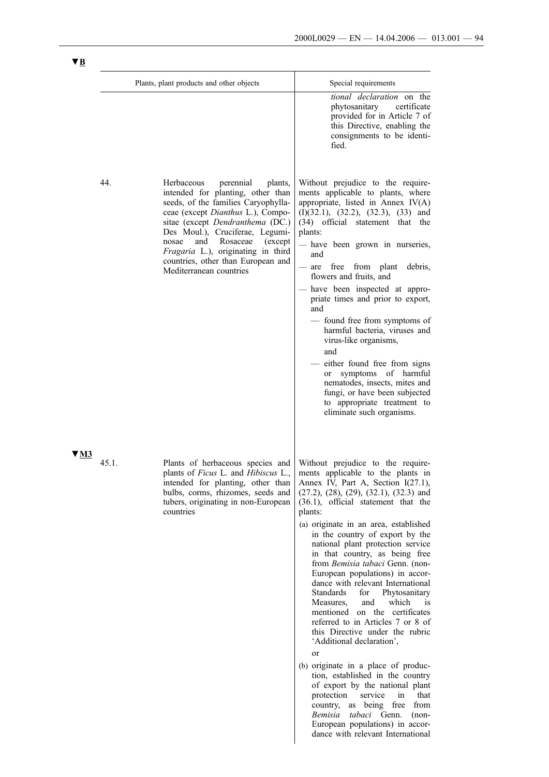|      |       | Plants, plant products and other objects                                                                                                                                                                                                                                                                                                                                  | Special requirements                                                                                                                                                                                                                                                                                                                                                                                                                                                                                                                                                                                                                                                                                                                                                                                                                                                                                                                                                                              |
|------|-------|---------------------------------------------------------------------------------------------------------------------------------------------------------------------------------------------------------------------------------------------------------------------------------------------------------------------------------------------------------------------------|---------------------------------------------------------------------------------------------------------------------------------------------------------------------------------------------------------------------------------------------------------------------------------------------------------------------------------------------------------------------------------------------------------------------------------------------------------------------------------------------------------------------------------------------------------------------------------------------------------------------------------------------------------------------------------------------------------------------------------------------------------------------------------------------------------------------------------------------------------------------------------------------------------------------------------------------------------------------------------------------------|
|      |       |                                                                                                                                                                                                                                                                                                                                                                           | tional declaration on the<br>phytosanitary<br>certificate<br>provided for in Article 7 of<br>this Directive, enabling the<br>consignments to be identi-<br>fied.                                                                                                                                                                                                                                                                                                                                                                                                                                                                                                                                                                                                                                                                                                                                                                                                                                  |
|      | 44.   | Herbaceous<br>perennial<br>plants,<br>intended for planting, other than<br>seeds, of the families Caryophylla-<br>ceae (except Dianthus L.), Compo-<br>sitae (except Dendranthema (DC.)<br>Des Moul.), Cruciferae, Legumi-<br>Rosaceae<br>nosae<br>and<br>(except)<br>Fragaria L.), originating in third<br>countries, other than European and<br>Mediterranean countries | Without prejudice to the require-<br>ments applicable to plants, where<br>appropriate, listed in Annex IV(A)<br>$(I)(32.1)$ , $(32.2)$ , $(32.3)$ , $(33)$ and<br>(34) official statement that the<br>plants:<br>- have been grown in nurseries,<br>and<br>from plant<br>free<br>debris,<br>are<br>flowers and fruits, and<br>have been inspected at appro-<br>priate times and prior to export,<br>and<br>- found free from symptoms of<br>harmful bacteria, viruses and<br>virus-like organisms,<br>and<br>either found free from signs<br>or symptoms of harmful<br>nematodes, insects, mites and<br>fungi, or have been subjected<br>to appropriate treatment to<br>eliminate such organisms.                                                                                                                                                                                                                                                                                                 |
| 7 M3 | 45.1. | Plants of herbaceous species and<br>plants of Ficus L. and Hibiscus L.,<br>intended for planting, other than<br>bulbs, corms, rhizomes, seeds and<br>tubers, originating in non-European<br>countries                                                                                                                                                                     | Without prejudice to the require-<br>ments applicable to the plants in<br>Annex IV, Part A, Section I(27.1),<br>$(27.2), (28), (29), (32.1), (32.3)$ and<br>(36.1), official statement that the<br>plants:<br>(a) originate in an area, established<br>in the country of export by the<br>national plant protection service<br>in that country, as being free<br>from Bemisia tabaci Genn. (non-<br>European populations) in accor-<br>dance with relevant International<br>Standards<br>for<br>Phytosanitary<br>Measures,<br>which<br>and<br>1S<br>mentioned on the certificates<br>referred to in Articles 7 or 8 of<br>this Directive under the rubric<br>'Additional declaration',<br>or<br>(b) originate in a place of produc-<br>tion, established in the country<br>of export by the national plant<br>protection<br>service<br>in<br>that<br>country, as being free<br>from<br>Bemisia<br>tabaci Genn.<br>$(non-$<br>European populations) in accor-<br>dance with relevant International |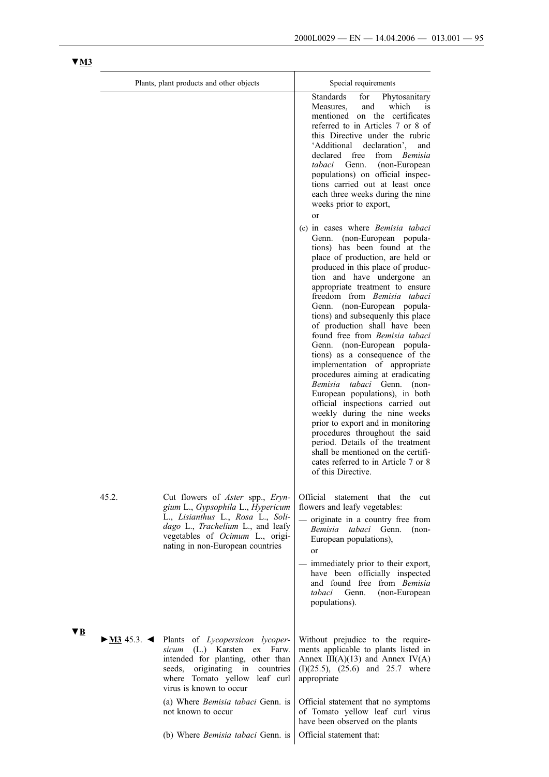|    |       | Plants, plant products and other objects                                                                                                                                                                                                                              | Special requirements                                                                                                                                                                                                                                                                                                                                                                                                                                                                                                                                                                                                                                                                                                                                                                                                                                                                                                                                                                                                                                                                                                                                                                                                                                                                                                                                                                        |
|----|-------|-----------------------------------------------------------------------------------------------------------------------------------------------------------------------------------------------------------------------------------------------------------------------|---------------------------------------------------------------------------------------------------------------------------------------------------------------------------------------------------------------------------------------------------------------------------------------------------------------------------------------------------------------------------------------------------------------------------------------------------------------------------------------------------------------------------------------------------------------------------------------------------------------------------------------------------------------------------------------------------------------------------------------------------------------------------------------------------------------------------------------------------------------------------------------------------------------------------------------------------------------------------------------------------------------------------------------------------------------------------------------------------------------------------------------------------------------------------------------------------------------------------------------------------------------------------------------------------------------------------------------------------------------------------------------------|
|    |       |                                                                                                                                                                                                                                                                       | <b>Standards</b><br>for<br>Phytosanitary<br>and<br>which<br>Measures,<br><sub>is</sub><br>mentioned on the certificates<br>referred to in Articles 7 or 8 of<br>this Directive under the rubric<br>declaration'.<br>'Additional<br>and<br>declared<br>free<br>from Bemisia<br>tabaci<br>Genn.<br>(non-European<br>populations) on official inspec-<br>tions carried out at least once<br>each three weeks during the nine<br>weeks prior to export,<br>or<br>(c) in cases where <i>Bemisia tabaci</i><br>Genn.<br>(non-European popula-<br>tions) has been found at the<br>place of production, are held or<br>produced in this place of produc-<br>tion and have undergone an<br>appropriate treatment to ensure<br>freedom from Bemisia tabaci<br>Genn. (non-European popula-<br>tions) and subsequenly this place<br>of production shall have been<br>found free from <i>Bemisia tabaci</i><br>Genn. (non-European popula-<br>tions) as a consequence of the<br>implementation of appropriate<br>procedures aiming at eradicating<br>Bemisia tabaci Genn.<br>$(non-$<br>European populations), in both<br>official inspections carried out<br>weekly during the nine weeks<br>prior to export and in monitoring<br>procedures throughout the said<br>period. Details of the treatment<br>shall be mentioned on the certifi-<br>cates referred to in Article 7 or 8<br>of this Directive. |
|    | 45.2. | Cut flowers of Aster spp., Eryn-<br>gium L., Gypsophila L., Hypericum<br>L., Lisianthus L., Rosa L., Soli-<br>dago L., Trachelium L., and leafy<br>vegetables of Ocimum L., origi-<br>nating in non-European countries                                                | Official statement that the<br>cut<br>flowers and leafy vegetables:<br>originate in a country free from<br>Bemisia<br>tabaci<br>Genn.<br>$(non-$<br>European populations),<br><sub>or</sub><br>immediately prior to their export,<br>have been officially inspected<br>and found free from Bemisia<br>tabaci Genn.<br>(non-European<br>populations).                                                                                                                                                                                                                                                                                                                                                                                                                                                                                                                                                                                                                                                                                                                                                                                                                                                                                                                                                                                                                                        |
| ▼B |       | $\triangleright$ <u>M3</u> 45.3. $\blacktriangleleft$ Plants of <i>Lycopersicon lycoper-</i><br>sicum (L.) Karsten ex Farw.<br>intended for planting, other than<br>seeds, originating in<br>countries<br>where Tomato yellow<br>leaf curl<br>virus is known to occur | Without prejudice to the require-<br>ments applicable to plants listed in<br>Annex $III(A)(13)$ and Annex $IV(A)$<br>$(I)(25.5)$ , $(25.6)$ and $25.7$ where<br>appropriate                                                                                                                                                                                                                                                                                                                                                                                                                                                                                                                                                                                                                                                                                                                                                                                                                                                                                                                                                                                                                                                                                                                                                                                                                 |
|    |       | (a) Where <i>Bemisia tabaci</i> Genn. is<br>not known to occur<br>(b) Where <i>Bemisia tabaci</i> Genn. is                                                                                                                                                            | Official statement that no symptoms<br>of Tomato yellow leaf curl virus<br>have been observed on the plants<br>Official statement that:                                                                                                                                                                                                                                                                                                                                                                                                                                                                                                                                                                                                                                                                                                                                                                                                                                                                                                                                                                                                                                                                                                                                                                                                                                                     |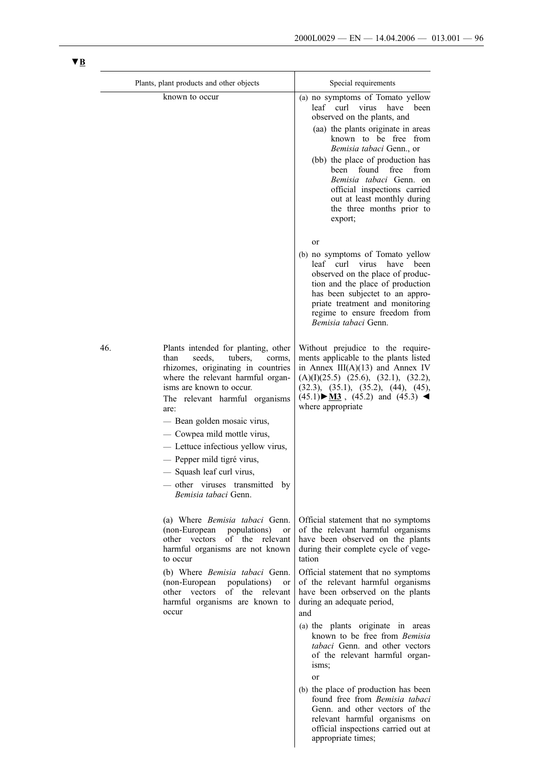|     | Plants, plant products and other objects                                                                                                                                                                                                                                                                                                                                                                                                           | Special requirements                                                                                                                                                                                                                                                                                                                                                                                  |
|-----|----------------------------------------------------------------------------------------------------------------------------------------------------------------------------------------------------------------------------------------------------------------------------------------------------------------------------------------------------------------------------------------------------------------------------------------------------|-------------------------------------------------------------------------------------------------------------------------------------------------------------------------------------------------------------------------------------------------------------------------------------------------------------------------------------------------------------------------------------------------------|
|     | known to occur                                                                                                                                                                                                                                                                                                                                                                                                                                     | (a) no symptoms of Tomato yellow<br>leaf curl virus have been<br>observed on the plants, and<br>(aa) the plants originate in areas<br>known to be free from<br>Bemisia tabaci Genn., or<br>(bb) the place of production has<br>been<br>found<br>free<br>from<br><i>Bemisia tabaci</i> Genn. on<br>official inspections carried<br>out at least monthly during<br>the three months prior to<br>export; |
|     |                                                                                                                                                                                                                                                                                                                                                                                                                                                    | or<br>(b) no symptoms of Tomato yellow<br>leaf curl virus<br>have<br>been<br>observed on the place of produc-<br>tion and the place of production<br>has been subjectet to an appro-<br>priate treatment and monitoring<br>regime to ensure freedom from<br>Bemisia tabaci Genn.                                                                                                                      |
| 46. | Plants intended for planting, other<br>tubers,<br>than<br>seeds.<br>corms,<br>rhizomes, originating in countries<br>where the relevant harmful organ-<br>isms are known to occur.<br>The relevant harmful organisms<br>are:<br>- Bean golden mosaic virus,<br>- Cowpea mild mottle virus,<br>- Lettuce infectious yellow virus,<br>- Pepper mild tigré virus,<br>- Squash leaf curl virus,<br>other viruses transmitted by<br>Bemisia tabaci Genn. | Without prejudice to the require-<br>ments applicable to the plants listed<br>in Annex $III(A)(13)$ and Annex IV<br>$(A)(I)(25.5)$ $(25.6)$ , $(32.1)$ , $(32.2)$ ,<br>(32.3), (35.1), (35.2), (44), (45),<br>$(45.1)$ M3 , $(45.2)$ and $(45.3)$<br>where appropriate                                                                                                                                |
|     | (a) Where Bemisia tabaci Genn.<br>(non-European<br>populations)<br>or<br>of the<br>other vectors<br>relevant<br>harmful organisms are not known<br>to occur<br>(b) Where Bemisia tabaci Genn.<br>(non-European<br>populations)<br>or<br>other vectors<br>of the relevant<br>harmful organisms are known to<br>occur                                                                                                                                | Official statement that no symptoms<br>of the relevant harmful organisms<br>have been observed on the plants<br>during their complete cycle of vege-<br>tation<br>Official statement that no symptoms<br>of the relevant harmful organisms<br>have been orbserved on the plants<br>during an adequate period,<br>and                                                                                  |
|     |                                                                                                                                                                                                                                                                                                                                                                                                                                                    | (a) the plants originate in areas<br>known to be free from Bemisia<br>tabaci Genn. and other vectors<br>of the relevant harmful organ-<br>isms;<br>or<br>(b) the place of production has been                                                                                                                                                                                                         |
|     |                                                                                                                                                                                                                                                                                                                                                                                                                                                    | found free from Bemisia tabaci<br>Genn. and other vectors of the<br>relevant harmful organisms on<br>official inspections carried out at                                                                                                                                                                                                                                                              |

appropriate times;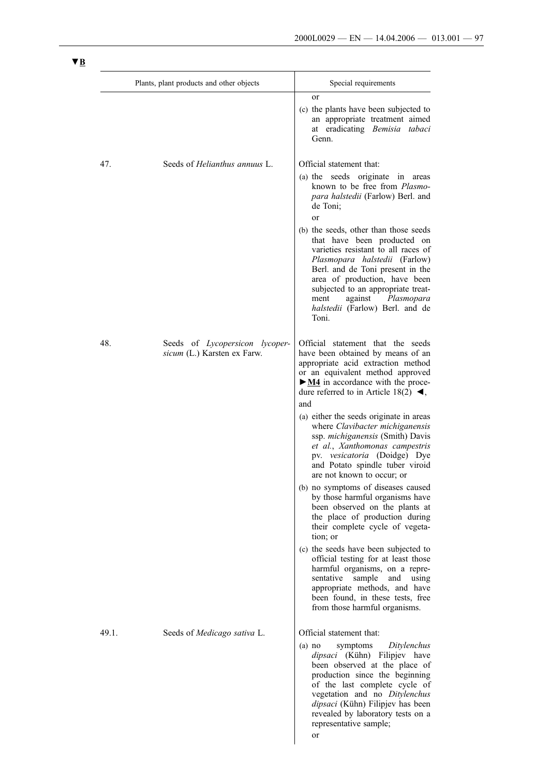|       | Plants, plant products and other objects                      | Special requirements                                                                                                                                                                                                                                                                                                              |
|-------|---------------------------------------------------------------|-----------------------------------------------------------------------------------------------------------------------------------------------------------------------------------------------------------------------------------------------------------------------------------------------------------------------------------|
|       |                                                               | <b>or</b><br>(c) the plants have been subjected to<br>an appropriate treatment aimed<br>at eradicating Bemisia tabaci<br>Genn.                                                                                                                                                                                                    |
| 47.   | Seeds of Helianthus annuus L.                                 | Official statement that:<br>(a) the seeds originate in areas<br>known to be free from Plasmo-<br>para halstedii (Farlow) Berl. and<br>de Toni;<br>or                                                                                                                                                                              |
|       |                                                               | (b) the seeds, other than those seeds<br>that have been producted on<br>varieties resistant to all races of<br>Plasmopara halstedii (Farlow)<br>Berl. and de Toni present in the<br>area of production, have been<br>subjected to an appropriate treat-<br>against Plasmopara<br>ment<br>halstedii (Farlow) Berl. and de<br>Toni. |
| 48.   | Seeds of Lycopersicon lycoper-<br>sicum (L.) Karsten ex Farw. | Official statement that the seeds<br>have been obtained by means of an<br>appropriate acid extraction method<br>or an equivalent method approved<br>$\triangleright$ <u>M4</u> in accordance with the proce-<br>dure referred to in Article 18(2) $\blacktriangleleft$ ,<br>and                                                   |
|       |                                                               | (a) either the seeds originate in areas<br>where Clavibacter michiganensis<br>ssp. michiganensis (Smith) Davis<br>et al., Xanthomonas campestris<br>pv. vesicatoria (Doidge) Dye<br>and Potato spindle tuber viroid<br>are not known to occur; or                                                                                 |
|       |                                                               | (b) no symptoms of diseases caused<br>by those harmful organisms have<br>been observed on the plants at<br>the place of production during<br>their complete cycle of vegeta-<br>tion; or                                                                                                                                          |
|       |                                                               | (c) the seeds have been subjected to<br>official testing for at least those<br>harmful organisms, on a repre-<br>sample<br>and<br>using<br>sentative<br>appropriate methods, and have<br>been found, in these tests, free<br>from those harmful organisms.                                                                        |
| 49.1. | Seeds of Medicago sativa L.                                   | Official statement that:                                                                                                                                                                                                                                                                                                          |
|       |                                                               | Ditylenchus<br>symptoms<br>$(a)$ no<br>dipsaci (Kühn) Filipjev have<br>been observed at the place of<br>production since the beginning<br>of the last complete cycle of<br>vegetation and no Ditylenchus<br>dipsaci (Kühn) Filipjev has been<br>revealed by laboratory tests on a<br>representative sample;                       |
|       |                                                               | or                                                                                                                                                                                                                                                                                                                                |

 $\overline{\phantom{a}}$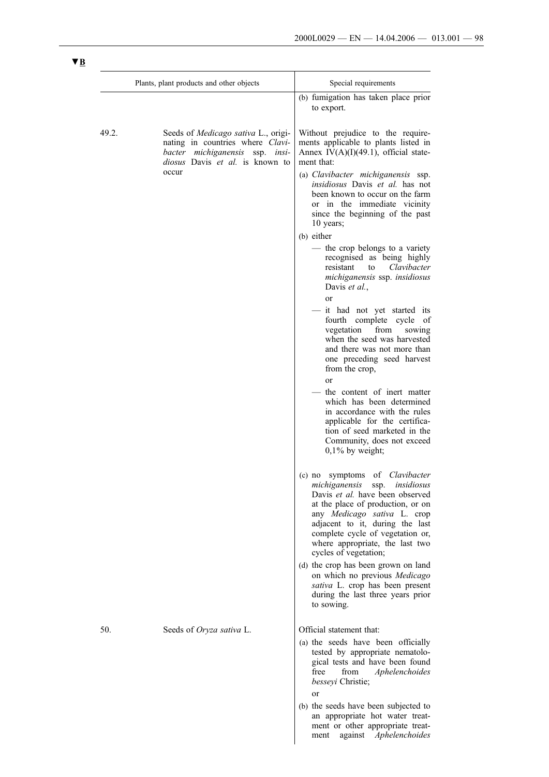|       | Plants, plant products and other objects                                                                                                      | Special requirements                                                                                                                                                                                                                                                                                      |
|-------|-----------------------------------------------------------------------------------------------------------------------------------------------|-----------------------------------------------------------------------------------------------------------------------------------------------------------------------------------------------------------------------------------------------------------------------------------------------------------|
|       |                                                                                                                                               | (b) fumigation has taken place prior<br>to export.                                                                                                                                                                                                                                                        |
| 49.2. | Seeds of Medicago sativa L., origi-<br>nating in countries where Clavi-<br>bacter michiganensis ssp. insi-<br>diosus Davis et al. is known to | Without prejudice to the require-<br>ments applicable to plants listed in<br>Annex IV $(A)(I)(49.1)$ , official state-<br>ment that:                                                                                                                                                                      |
|       | occur                                                                                                                                         | (a) Clavibacter michiganensis ssp.<br>insidiosus Davis et al. has not<br>been known to occur on the farm<br>or in the immediate vicinity<br>since the beginning of the past<br>10 years;                                                                                                                  |
|       |                                                                                                                                               | (b) either                                                                                                                                                                                                                                                                                                |
|       |                                                                                                                                               | - the crop belongs to a variety<br>recognised as being highly<br>Clavibacter<br>resistant<br>to<br>michiganensis ssp. insidiosus<br>Davis et al.,                                                                                                                                                         |
|       |                                                                                                                                               | <sub>or</sub><br>- it had not yet started its<br>fourth complete cycle of<br>vegetation from<br>sowing<br>when the seed was harvested<br>and there was not more than<br>one preceding seed harvest<br>from the crop,                                                                                      |
|       |                                                                                                                                               | or<br>the content of inert matter<br>which has been determined<br>in accordance with the rules<br>applicable for the certifica-<br>tion of seed marketed in the<br>Community, does not exceed<br>$0,1\%$ by weight;                                                                                       |
|       |                                                                                                                                               | (c) no symptoms of Clavibacter<br>michiganensis ssp. insidiosus<br>Davis et al. have been observed<br>at the place of production, or on<br>any Medicago sativa L. crop<br>adjacent to it, during the last<br>complete cycle of vegetation or,<br>where appropriate, the last two<br>cycles of vegetation; |
|       |                                                                                                                                               | (d) the crop has been grown on land<br>on which no previous Medicago<br>sativa L. crop has been present<br>during the last three years prior<br>to sowing.                                                                                                                                                |
| 50.   | Seeds of Oryza sativa L.                                                                                                                      | Official statement that:                                                                                                                                                                                                                                                                                  |
|       |                                                                                                                                               | (a) the seeds have been officially<br>tested by appropriate nematolo-<br>gical tests and have been found<br>free<br>from<br>Aphelenchoides<br><i>besseyi</i> Christie;<br>or                                                                                                                              |
|       |                                                                                                                                               | (b) the seeds have been subjected to<br>an appropriate hot water treat-<br>ment or other appropriate treat-<br>against<br>Aphelenchoides<br>ment                                                                                                                                                          |